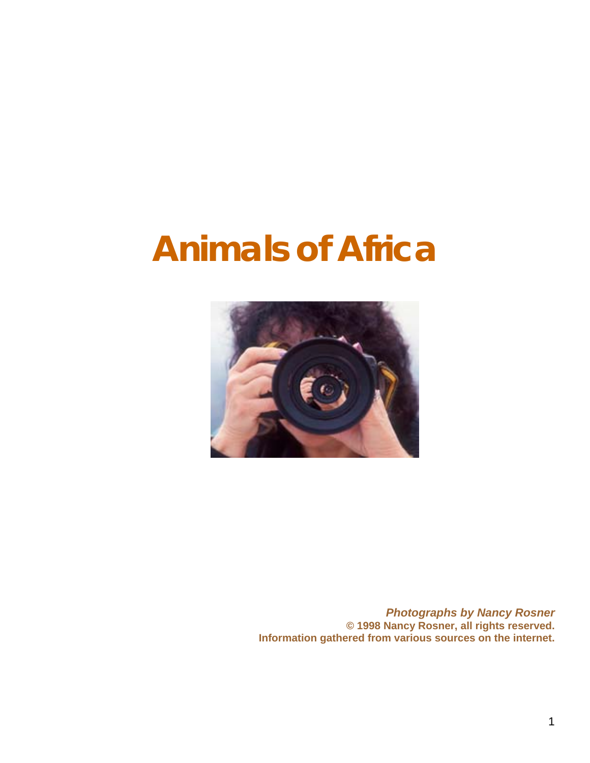

*Photographs by Nancy Rosner*  **© 1998 Nancy Rosner, all rights reserved. Information gathered from various sources on the internet.**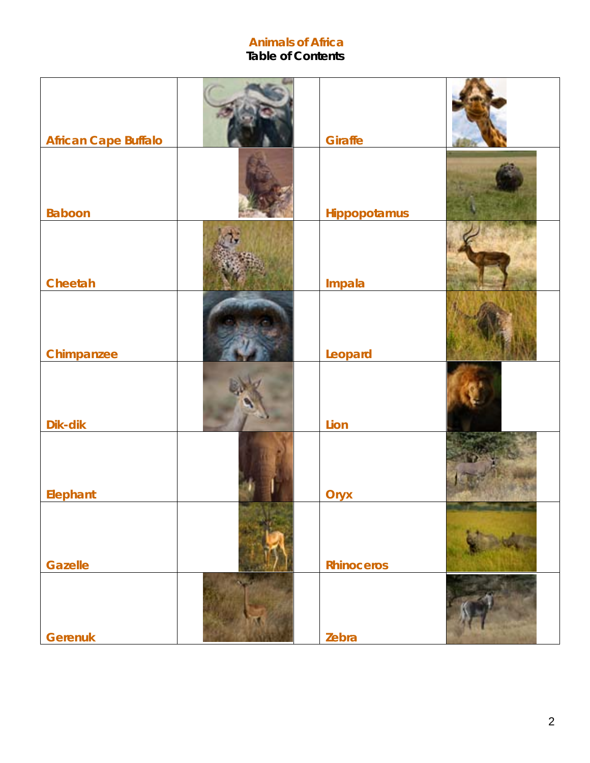# **Table of Contents**

| <b>African Cape Buffalo</b> | <b>Giraffe</b>    |  |
|-----------------------------|-------------------|--|
| <b>Baboon</b>               | Hippopotamus      |  |
| Cheetah                     | Impala            |  |
| Chimpanzee                  | Leopard           |  |
| Dik-dik                     | Lion              |  |
| Elephant                    | Oryx              |  |
| <b>Gazelle</b>              | <b>Rhinoceros</b> |  |
| <b>Gerenuk</b>              | Zebra             |  |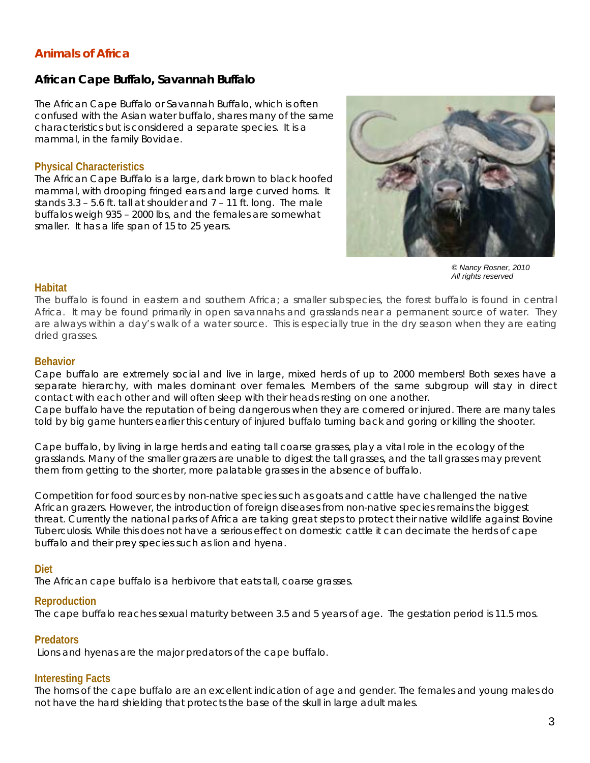## *African Cape Buffalo, Savannah Buffalo*

The African Cape Buffalo or Savannah Buffalo, which is often confused with the Asian water buffalo, shares many of the same characteristics but is considered a separate species. It is a mammal, in the family Bovidae.

## **Physical Characteristics**

The African Cape Buffalo is a large, dark brown to black hoofed mammal, with drooping fringed ears and large curved horns. It stands 3.3 – 5.6 ft. tall at shoulder and 7 – 11 ft. long. The male buffalos weigh 935 – 2000 lbs, and the females are somewhat smaller. It has a life span of 15 to 25 years.



*© Nancy Rosner, 2010 All rights reserved*

#### **Habitat**

The buffalo is found in eastern and southern Africa; a smaller subspecies, the forest buffalo is found in central Africa. It may be found primarily in open savannahs and grasslands near a permanent source of water. They are always within a day's walk of a water source. This is especially true in the dry season when they are eating dried grasses.

#### **Behavior**

Cape buffalo are extremely social and live in large, mixed herds of up to 2000 members! Both sexes have a separate hierarchy, with males dominant over females. Members of the same subgroup will stay in direct contact with each other and will often sleep with their heads resting on one another.

Cape buffalo have the reputation of being dangerous when they are cornered or injured. There are many tales told by big game hunters earlier this century of injured buffalo turning back and goring or killing the shooter.

Cape buffalo, by living in large herds and eating tall coarse grasses, play a vital role in the ecology of the grasslands. Many of the smaller grazers are unable to digest the tall grasses, and the tall grasses may prevent them from getting to the shorter, more palatable grasses in the absence of buffalo.

Competition for food sources by non-native species such as goats and cattle have challenged the native African grazers. However, the introduction of foreign diseases from non-native species remains the biggest threat. Currently the national parks of Africa are taking great steps to protect their native wildlife against Bovine Tuberculosis. While this does not have a serious effect on domestic cattle it can decimate the herds of cape buffalo and their prey species such as lion and hyena.

## **Diet**

The African cape buffalo is a herbivore that eats tall, coarse grasses.

## **Reproduction**

The cape buffalo reaches sexual maturity between 3.5 and 5 years of age. The gestation period is 11.5 mos.

## **Predators**

Lions and hyenas are the major predators of the cape buffalo.

# **Interesting Facts**

The horns of the cape buffalo are an excellent indication of age and gender. The females and young males do not have the hard shielding that protects the base of the skull in large adult males.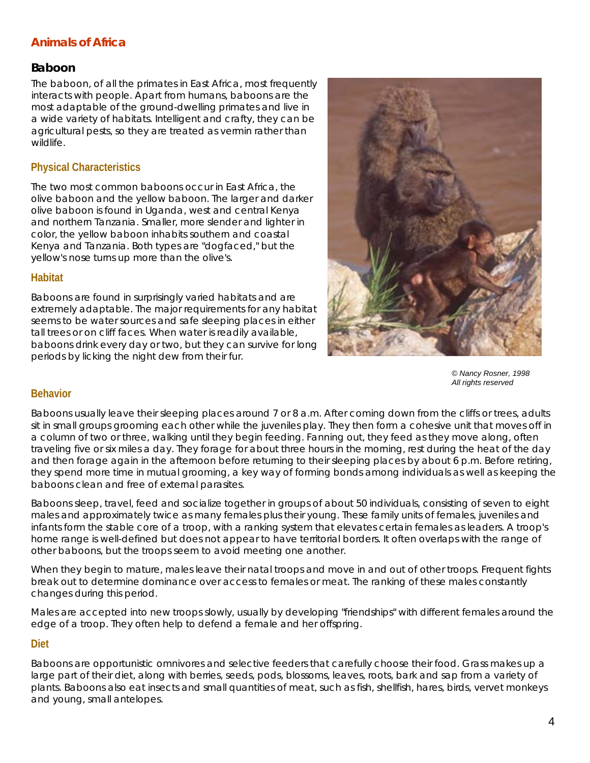## *Baboon*

The baboon, of all the primates in East Africa, most frequently interacts with people. Apart from humans, baboons are the most adaptable of the ground-dwelling primates and live in a wide variety of habitats. Intelligent and crafty, they can be agricultural pests, so they are treated as vermin rather than wildlife.

## **Physical Characteristics**

The two most common baboons occur in East Africa, the olive baboon and the yellow baboon. The larger and darker olive baboon is found in Uganda, west and central Kenya and northern Tanzania. Smaller, more slender and lighter in color, the yellow baboon inhabits southern and coastal Kenya and Tanzania. Both types are "dogfaced," but the yellow's nose turns up more than the olive's.

#### **Habitat**

Baboons are found in surprisingly varied habitats and are extremely adaptable. The major requirements for any habitat seems to be water sources and safe sleeping places in either tall trees or on cliff faces. When water is readily available, baboons drink every day or two, but they can survive for long periods by licking the night dew from their fur.



*© Nancy Rosner, 1998 All rights reserved* 

#### **Behavior**

Baboons usually leave their sleeping places around 7 or 8 a.m. After coming down from the cliffs or trees, adults sit in small groups grooming each other while the juveniles play. They then form a cohesive unit that moves off in a column of two or three, walking until they begin feeding. Fanning out, they feed as they move along, often traveling five or six miles a day. They forage for about three hours in the morning, rest during the heat of the day and then forage again in the afternoon before returning to their sleeping places by about 6 p.m. Before retiring, they spend more time in mutual grooming, a key way of forming bonds among individuals as well as keeping the baboons clean and free of external parasites.

Baboons sleep, travel, feed and socialize together in groups of about 50 individuals, consisting of seven to eight males and approximately twice as many females plus their young. These family units of females, juveniles and infants form the stable core of a troop, with a ranking system that elevates certain females as leaders. A troop's home range is well-defined but does not appear to have territorial borders. It often overlaps with the range of other baboons, but the troops seem to avoid meeting one another.

When they begin to mature, males leave their natal troops and move in and out of other troops. Frequent fights break out to determine dominance over access to females or meat. The ranking of these males constantly changes during this period.

Males are accepted into new troops slowly, usually by developing "friendships" with different females around the edge of a troop. They often help to defend a female and her offspring.

#### **Diet**

Baboons are opportunistic omnivores and selective feeders that carefully choose their food. Grass makes up a large part of their diet, along with berries, seeds, pods, blossoms, leaves, roots, bark and sap from a variety of plants. Baboons also eat insects and small quantities of meat, such as fish, shellfish, hares, birds, vervet monkeys and young, small antelopes.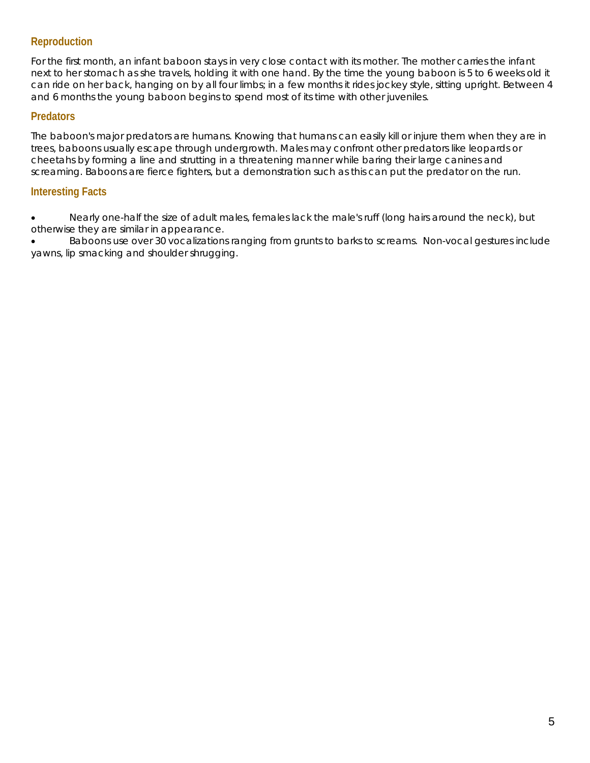## **Reproduction**

For the first month, an infant baboon stays in very close contact with its mother. The mother carries the infant next to her stomach as she travels, holding it with one hand. By the time the young baboon is 5 to 6 weeks old it can ride on her back, hanging on by all four limbs; in a few months it rides jockey style, sitting upright. Between 4 and 6 months the young baboon begins to spend most of its time with other juveniles.

## **Predators**

The baboon's major predators are humans. Knowing that humans can easily kill or injure them when they are in trees, baboons usually escape through undergrowth. Males may confront other predators like leopards or cheetahs by forming a line and strutting in a threatening manner while baring their large canines and screaming. Baboons are fierce fighters, but a demonstration such as this can put the predator on the run.

## **Interesting Facts**

• Nearly one-half the size of adult males, females lack the male's ruff (long hairs around the neck), but otherwise they are similar in appearance.

• Baboons use over 30 vocalizations ranging from grunts to barks to screams. Non-vocal gestures include yawns, lip smacking and shoulder shrugging.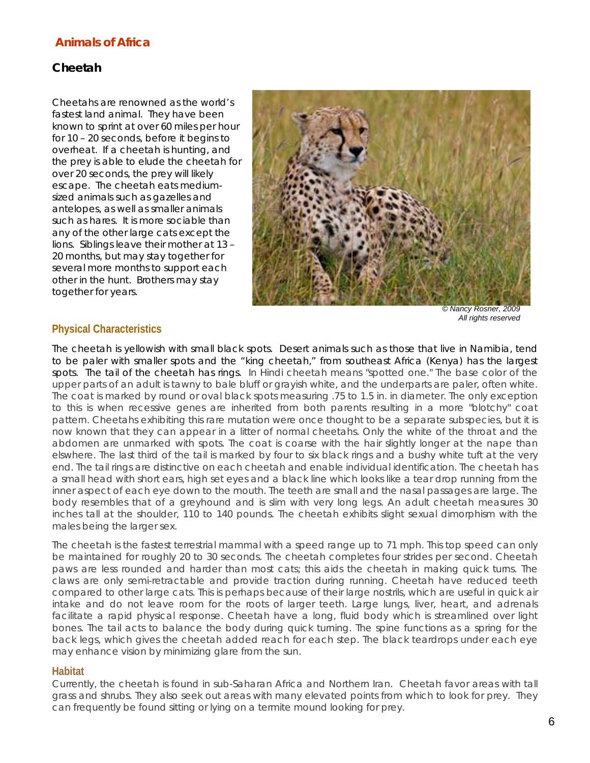## *Cheetah*

Cheetahs are renowned as the world's fastest land animal. They have been known to sprint at over 60 miles per hour for 10 – 20 seconds, before it begins to overheat. If a cheetah is hunting, and the prey is able to elude the cheetah for over 20 seconds, the prey will likely escape. The cheetah eats mediumsized animals such as gazelles and antelopes, as well as smaller animals such as hares. It is more sociable than any of the other large cats except the lions. Siblings leave their mother at 13 – 20 months, but may stay together for several more months to support each other in the hunt. Brothers may stay together for years.



*© Nancy Rosner, 2009 All rights reserved* 

#### **Physical Characteristics**

The cheetah is yellowish with small black spots. Desert animals such as those that live in Namibia, tend to be paler with smaller spots and the "king cheetah," from southeast Africa (Kenya) has the largest spots. The tail of the cheetah has rings. In Hindi cheetah means "spotted one." The base color of the upper parts of an adult is tawny to bale bluff or grayish white, and the underparts are paler, often white. The coat is marked by round or oval black spots measuring .75 to 1.5 in. in diameter. The only exception to this is when recessive genes are inherited from both parents resulting in a more "blotchy" coat pattern. Cheetahs exhibiting this rare mutation were once thought to be a separate subspecies, but it is now known that they can appear in a litter of normal cheetahs. Only the white of the throat and the abdomen are unmarked with spots. The coat is coarse with the hair slightly longer at the nape than elswhere. The last third of the tail is marked by four to six black rings and a bushy white tuft at the very end. The tail rings are distinctive on each cheetah and enable individual identification. The cheetah has a small head with short ears, high set eyes and a black line which looks like a tear drop running from the inner aspect of each eye down to the mouth. The teeth are small and the nasal passages are large. The body resembles that of a greyhound and is slim with very long legs. An adult cheetah measures 30 inches tall at the shoulder, 110 to 140 pounds. The cheetah exhibits slight sexual dimorphism with the males being the larger sex.

The cheetah is the fastest terrestrial mammal with a speed range up to 71 mph. This top speed can only be maintained for roughly 20 to 30 seconds. The cheetah completes four strides per second. Cheetah paws are less rounded and harder than most cats; this aids the cheetah in making quick turns. The claws are only semi-retractable and provide traction during running. Cheetah have reduced teeth compared to other large cats. This is perhaps because of their large nostrils, which are useful in quick air intake and do not leave room for the roots of larger teeth. Large lungs, liver, heart, and adrenals facilitate a rapid physical response. Cheetah have a long, fluid body which is streamlined over light bones. The tail acts to balance the body during quick turning. The spine functions as a spring for the back legs, which gives the cheetah added reach for each step. The black teardrops under each eye may enhance vision by minimizing glare from the sun.

#### **Habitat**

Currently, the cheetah is found in sub-Saharan Africa and Northern Iran. Cheetah favor areas with tall grass and shrubs. They also seek out areas with many elevated points from which to look for prey. They can frequently be found sitting or lying on a termite mound looking for prey.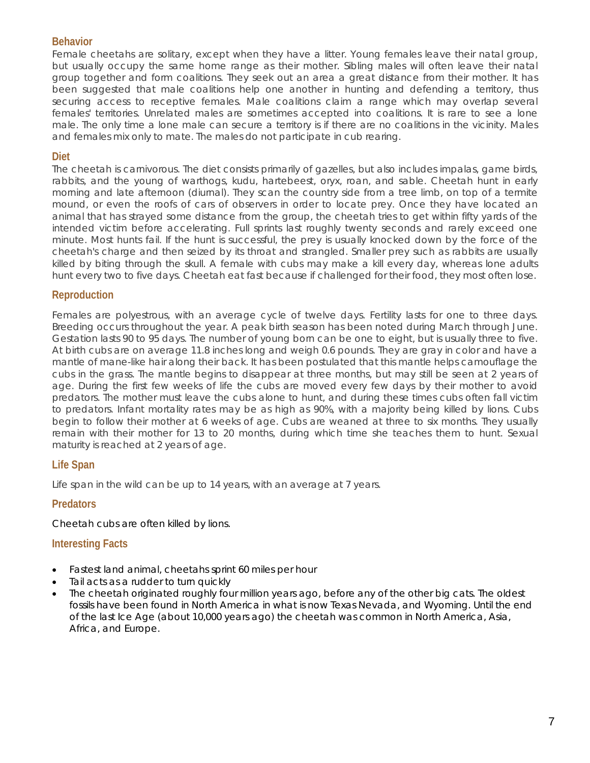## **Behavior**

Female cheetahs are solitary, except when they have a litter. Young females leave their natal group, but usually occupy the same home range as their mother. Sibling males will often leave their natal group together and form coalitions. They seek out an area a great distance from their mother. It has been suggested that male coalitions help one another in hunting and defending a territory, thus securing access to receptive females. Male coalitions claim a range which may overlap several females' territories. Unrelated males are sometimes accepted into coalitions. It is rare to see a lone male. The only time a lone male can secure a territory is if there are no coalitions in the vicinity. Males and females mix only to mate. The males do not participate in cub rearing.

## **Diet**

The cheetah is carnivorous. The diet consists primarily of gazelles, but also includes impalas, game birds, rabbits, and the young of warthogs, kudu, hartebeest, oryx, roan, and sable. Cheetah hunt in early morning and late afternoon (diurnal). They scan the country side from a tree limb, on top of a termite mound, or even the roofs of cars of observers in order to locate prey. Once they have located an animal that has strayed some distance from the group, the cheetah tries to get within fifty yards of the intended victim before accelerating. Full sprints last roughly twenty seconds and rarely exceed one minute. Most hunts fail. If the hunt is successful, the prey is usually knocked down by the force of the cheetah's charge and then seized by its throat and strangled. Smaller prey such as rabbits are usually killed by biting through the skull. A female with cubs may make a kill every day, whereas lone adults hunt every two to five days. Cheetah eat fast because if challenged for their food, they most often lose.

## **Reproduction**

Females are polyestrous, with an average cycle of twelve days. Fertility lasts for one to three days. Breeding occurs throughout the year. A peak birth season has been noted during March through June. Gestation lasts 90 to 95 days. The number of young born can be one to eight, but is usually three to five. At birth cubs are on average 11.8 inches long and weigh 0.6 pounds. They are gray in color and have a mantle of mane-like hair along their back. It has been postulated that this mantle helps camouflage the cubs in the grass. The mantle begins to disappear at three months, but may still be seen at 2 years of age. During the first few weeks of life the cubs are moved every few days by their mother to avoid predators. The mother must leave the cubs alone to hunt, and during these times cubs often fall victim to predators. Infant mortality rates may be as high as 90%, with a majority being killed by lions. Cubs begin to follow their mother at 6 weeks of age. Cubs are weaned at three to six months. They usually remain with their mother for 13 to 20 months, during which time she teaches them to hunt. Sexual maturity is reached at 2 years of age.

## **Life Span**

Life span in the wild can be up to 14 years, with an average at 7 years.

## **Predators**

Cheetah cubs are often killed by lions.

- Fastest land animal, cheetahs sprint 60 miles per hour
- Tail acts as a rudder to turn quickly
- The cheetah originated roughly four million years ago, before any of the other big cats. The oldest fossils have been found in North America in what is now Texas Nevada, and Wyoming. Until the end of the last Ice Age (about 10,000 years ago) the cheetah was common in North America, Asia, Africa, and Europe.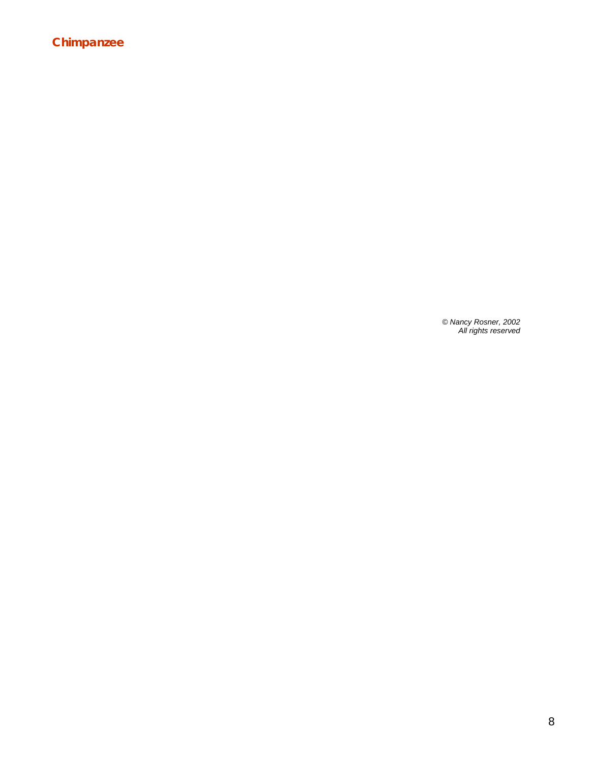## **Chimpanzee**

*© Nancy Rosner, 2002 All rights reserved*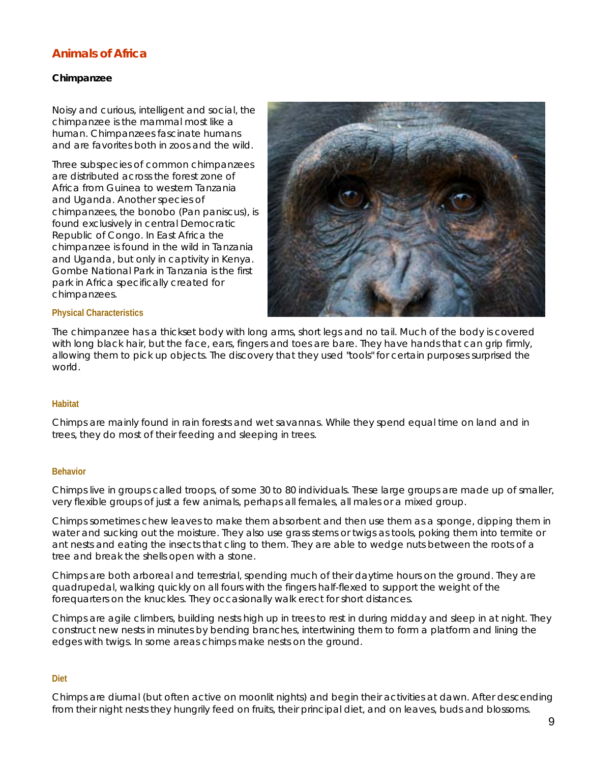#### *Chimpanzee*

Noisy and curious, intelligent and social, the chimpanzee is the mammal most like a human. Chimpanzees fascinate humans and are favorites both in zoos and the wild.

Three subspecies of common chimpanzees are distributed across the forest zone of Africa from Guinea to western Tanzania and Uganda. Another species of chimpanzees, the bonobo (Pan paniscus), is found exclusively in central Democratic Republic of Congo. In East Africa the chimpanzee is found in the wild in Tanzania and Uganda, but only in captivity in Kenya. Gombe National Park in Tanzania is the first park in Africa specifically created for chimpanzees.



#### **Physical Characteristics**

The chimpanzee has a thickset body with long arms, short legs and no tail. Much of the body is covered with long black hair, but the face, ears, fingers and toes are bare. They have hands that can grip firmly, allowing them to pick up objects. The discovery that they used "tools" for certain purposes surprised the world.

#### **Habitat**

Chimps are mainly found in rain forests and wet savannas. While they spend equal time on land and in trees, they do most of their feeding and sleeping in trees.

#### **Behavior**

Chimps live in groups called troops, of some 30 to 80 individuals. These large groups are made up of smaller, very flexible groups of just a few animals, perhaps all females, all males or a mixed group.

Chimps sometimes chew leaves to make them absorbent and then use them as a sponge, dipping them in water and sucking out the moisture. They also use grass stems or twigs as tools, poking them into termite or ant nests and eating the insects that cling to them. They are able to wedge nuts between the roots of a tree and break the shells open with a stone.

Chimps are both arboreal and terrestrial, spending much of their daytime hours on the ground. They are quadrupedal, walking quickly on all fours with the fingers half-flexed to support the weight of the forequarters on the knuckles. They occasionally walk erect for short distances.

Chimps are agile climbers, building nests high up in trees to rest in during midday and sleep in at night. They construct new nests in minutes by bending branches, intertwining them to form a platform and lining the edges with twigs. In some areas chimps make nests on the ground.

#### **Diet**

Chimps are diurnal (but often active on moonlit nights) and begin their activities at dawn. After descending from their night nests they hungrily feed on fruits, their principal diet, and on leaves, buds and blossoms.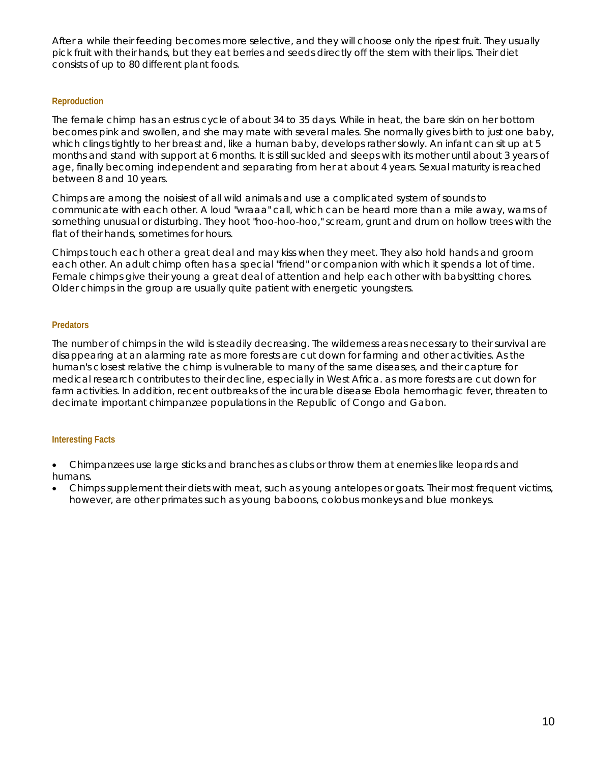After a while their feeding becomes more selective, and they will choose only the ripest fruit. They usually pick fruit with their hands, but they eat berries and seeds directly off the stem with their lips. Their diet consists of up to 80 different plant foods.

#### **Reproduction**

The female chimp has an estrus cycle of about 34 to 35 days. While in heat, the bare skin on her bottom becomes pink and swollen, and she may mate with several males. She normally gives birth to just one baby, which clings tightly to her breast and, like a human baby, develops rather slowly. An infant can sit up at 5 months and stand with support at 6 months. It is still suckled and sleeps with its mother until about 3 years of age, finally becoming independent and separating from her at about 4 years. Sexual maturity is reached between 8 and 10 years.

Chimps are among the noisiest of all wild animals and use a complicated system of sounds to communicate with each other. A loud "wraaa" call, which can be heard more than a mile away, warns of something unusual or disturbing. They hoot "hoo-hoo-hoo," scream, grunt and drum on hollow trees with the flat of their hands, sometimes for hours.

Chimps touch each other a great deal and may kiss when they meet. They also hold hands and groom each other. An adult chimp often has a special "friend" or companion with which it spends a lot of time. Female chimps give their young a great deal of attention and help each other with babysitting chores. Older chimps in the group are usually quite patient with energetic youngsters.

#### **Predators**

The number of chimps in the wild is steadily decreasing. The wilderness areas necessary to their survival are disappearing at an alarming rate as more forests are cut down for farming and other activities. As the human's closest relative the chimp is vulnerable to many of the same diseases, and their capture for medical research contributes to their decline, especially in West Africa. as more forests are cut down for farm activities. In addition, recent outbreaks of the incurable disease Ebola hemorrhagic fever, threaten to decimate important chimpanzee populations in the Republic of Congo and Gabon.

- Chimpanzees use large sticks and branches as clubs or throw them at enemies like leopards and humans.
- Chimps supplement their diets with meat, such as young antelopes or goats. Their most frequent victims, however, are other primates such as young baboons, colobus monkeys and blue monkeys.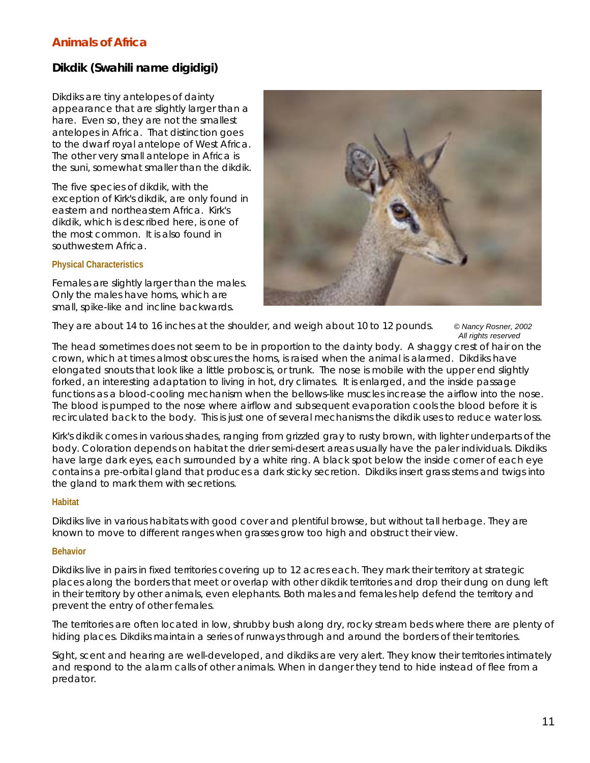# *Dikdik (Swahili name digidigi)*

Dikdiks are tiny antelopes of dainty appearance that are slightly larger than a hare. Even so, they are not the smallest antelopes in Africa. That distinction goes to the dwarf royal antelope of West Africa. The other very small antelope in Africa is the suni, somewhat smaller than the dikdik.

The five species of dikdik, with the exception of Kirk's dikdik, are only found in eastern and northeastern Africa. Kirk's dikdik, which is described here, is one of the most common. It is also found in southwestern Africa.

#### **Physical Characteristics**

Females are slightly larger than the males. Only the males have horns, which are small, spike-like and incline backwards.



They are about 14 to 16 inches at the shoulder, and weigh about 10 to 12 pounds. *© Nancy Rosner, 2002* 

*All rights reserved* 

The head sometimes does not seem to be in proportion to the dainty body. A shaggy crest of hair on the crown, which at times almost obscures the horns, is raised when the animal is alarmed. Dikdiks have elongated snouts that look like a little proboscis, or trunk. The nose is mobile with the upper end slightly forked, an interesting adaptation to living in hot, dry climates. It is enlarged, and the inside passage functions as a blood-cooling mechanism when the bellows-like muscles increase the airflow into the nose. The blood is pumped to the nose where airflow and subsequent evaporation cools the blood before it is recirculated back to the body. This is just one of several mechanisms the dikdik uses to reduce water loss.

Kirk's dikdik comes in various shades, ranging from grizzled gray to rusty brown, with lighter underparts of the body. Coloration depends on habitat the drier semi-desert areas usually have the paler individuals. Dikdiks have large dark eyes, each surrounded by a white ring. A black spot below the inside corner of each eye contains a pre-orbital gland that produces a dark sticky secretion. Dikdiks insert grass stems and twigs into the gland to mark them with secretions.

#### **Habitat**

Dikdiks live in various habitats with good cover and plentiful browse, but without tall herbage. They are known to move to different ranges when grasses grow too high and obstruct their view.

#### **Behavior**

Dikdiks live in pairs in fixed territories covering up to 12 acres each. They mark their territory at strategic places along the borders that meet or overlap with other dikdik territories and drop their dung on dung left in their territory by other animals, even elephants. Both males and females help defend the territory and prevent the entry of other females.

The territories are often located in low, shrubby bush along dry, rocky stream beds where there are plenty of hiding places. Dikdiks maintain a series of runways through and around the borders of their territories.

Sight, scent and hearing are well-developed, and dikdiks are very alert. They know their territories intimately and respond to the alarm calls of other animals. When in danger they tend to hide instead of flee from a predator.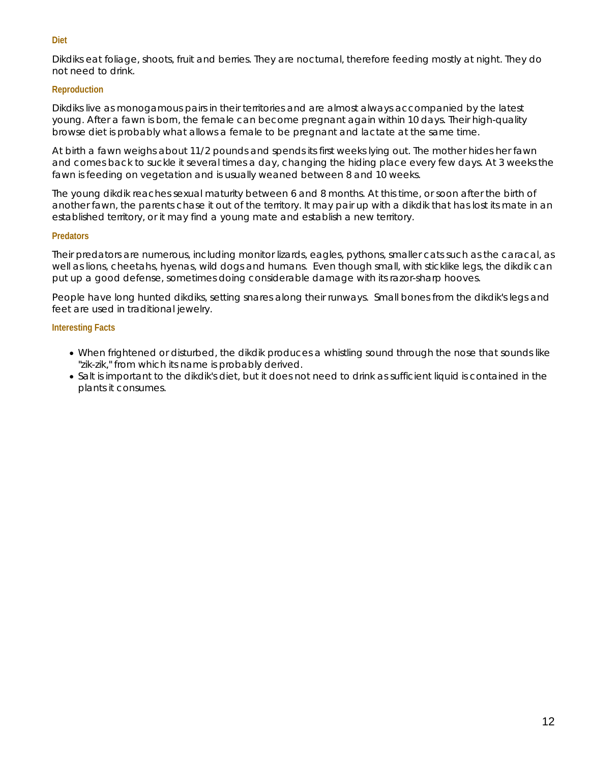#### **Diet**

Dikdiks eat foliage, shoots, fruit and berries. They are nocturnal, therefore feeding mostly at night. They do not need to drink.

#### **Reproduction**

Dikdiks live as monogamous pairs in their territories and are almost always accompanied by the latest young. After a fawn is born, the female can become pregnant again within 10 days. Their high-quality browse diet is probably what allows a female to be pregnant and lactate at the same time.

At birth a fawn weighs about 11/2 pounds and spends its first weeks lying out. The mother hides her fawn and comes back to suckle it several times a day, changing the hiding place every few days. At 3 weeks the fawn is feeding on vegetation and is usually weaned between 8 and 10 weeks.

The young dikdik reaches sexual maturity between 6 and 8 months. At this time, or soon after the birth of another fawn, the parents chase it out of the territory. It may pair up with a dikdik that has lost its mate in an established territory, or it may find a young mate and establish a new territory.

#### **Predators**

Their predators are numerous, including monitor lizards, eagles, pythons, smaller cats such as the caracal, as well as lions, cheetahs, hyenas, wild dogs and humans. Even though small, with sticklike legs, the dikdik can put up a good defense, sometimes doing considerable damage with its razor-sharp hooves.

People have long hunted dikdiks, setting snares along their runways. Small bones from the dikdik's legs and feet are used in traditional jewelry.

- When frightened or disturbed, the dikdik produces a whistling sound through the nose that sounds like "zik-zik," from which its name is probably derived.
- Salt is important to the dikdik's diet, but it does not need to drink as sufficient liquid is contained in the plants it consumes.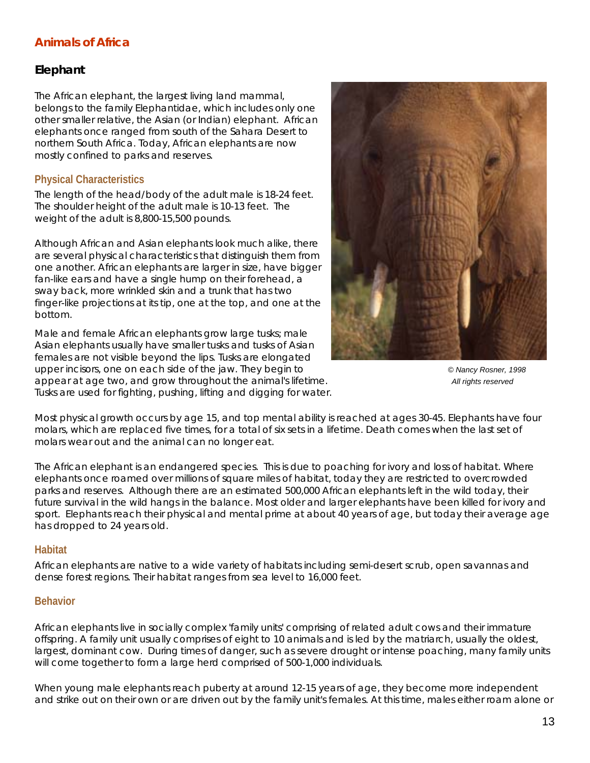## *Elephant*

The African elephant, the largest living land mammal, belongs to the family *Elephantidae*, which includes only one other smaller relative, the Asian (or Indian) elephant. African elephants once ranged from south of the Sahara Desert to northern South Africa. Today, African elephants are now mostly confined to parks and reserves.

## **Physical Characteristics**

The length of the head/body of the adult male is 18-24 feet. The shoulder height of the adult male is 10-13 feet. The weight of the adult is 8,800-15,500 pounds.

Although African and Asian elephants look much alike, there are several physical characteristics that distinguish them from one another. African elephants are larger in size, have bigger fan-like ears and have a single hump on their forehead, a sway back, more wrinkled skin and a trunk that has two finger-like projections at its tip, one at the top, and one at the bottom.

Male and female African elephants grow large tusks; male Asian elephants usually have smaller tusks and tusks of Asian females are not visible beyond the lips. Tusks are elongated upper incisors, one on each side of the jaw. They begin to *© Nancy Rosner, 1998*  appear at age two, and grow throughout the animal's lifetime. **All rights reserved** and **All rights reserved All rights reserved** Tusks are used for fighting, pushing, lifting and digging for water.



Most physical growth occurs by age 15, and top mental ability is reached at ages 30-45. Elephants have four molars, which are replaced five times, for a total of six sets in a lifetime. Death comes when the last set of molars wear out and the animal can no longer eat.

The African elephant is an endangered species. This is due to poaching for ivory and loss of habitat. Where elephants once roamed over millions of square miles of habitat, today they are restricted to overcrowded parks and reserves. Although there are an estimated 500,000 African elephants left in the wild today, their future survival in the wild hangs in the balance. Most older and larger elephants have been killed for ivory and sport. Elephants reach their physical and mental prime at about 40 years of age, but today their average age has dropped to 24 years old.

#### **Habitat**

African elephants are native to a wide variety of habitats including semi-desert scrub, open savannas and dense forest regions. Their habitat ranges from sea level to 16,000 feet.

#### **Behavior**

African elephants live in socially complex 'family units' comprising of related adult cows and their immature offspring. A family unit usually comprises of eight to 10 animals and is led by the matriarch, usually the oldest, largest, dominant cow. During times of danger, such as severe drought or intense poaching, many family units will come together to form a large herd comprised of 500-1,000 individuals.

When young male elephants reach puberty at around 12-15 years of age, they become more independent and strike out on their own or are driven out by the family unit's females. At this time, males either roam alone or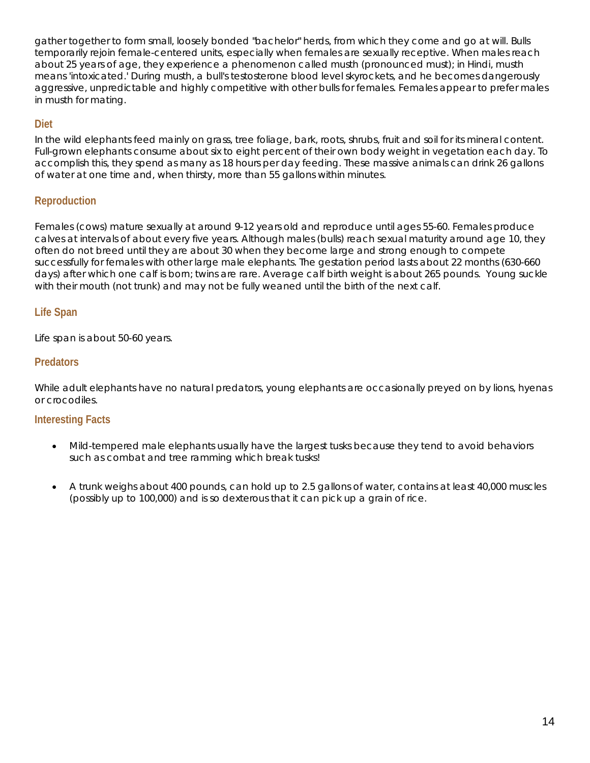gather together to form small, loosely bonded "bachelor" herds, from which they come and go at will. Bulls temporarily rejoin female-centered units, especially when females are sexually receptive. When males reach about 25 years of age, they experience a phenomenon called musth (pronounced must); in Hindi, musth means 'intoxicated.' During musth, a bull's testosterone blood level skyrockets, and he becomes dangerously aggressive, unpredictable and highly competitive with other bulls for females. Females appear to prefer males in musth for mating.

## **Diet**

In the wild elephants feed mainly on grass, tree foliage, bark, roots, shrubs, fruit and soil for its mineral content. Full-grown elephants consume about six to eight percent of their own body weight in vegetation each day. To accomplish this, they spend as many as 18 hours per day feeding. These massive animals can drink 26 gallons of water at one time and, when thirsty, more than 55 gallons within minutes.

## **Reproduction**

Females (cows) mature sexually at around 9-12 years old and reproduce until ages 55-60. Females produce calves at intervals of about every five years. Although males (bulls) reach sexual maturity around age 10, they often do not breed until they are about 30 when they become large and strong enough to compete successfully for females with other large male elephants. The gestation period lasts about 22 months (630-660 days) after which one calf is born; twins are rare. Average calf birth weight is about 265 pounds. Young suckle with their mouth (not trunk) and may not be fully weaned until the birth of the next calf.

## **Life Span**

Life span is about 50-60 years.

## **Predators**

While adult elephants have no natural predators, young elephants are occasionally preyed on by lions, hyenas or crocodiles.

- Mild-tempered male elephants usually have the largest tusks because they tend to avoid behaviors such as combat and tree ramming which break tusks!
- A trunk weighs about 400 pounds, can hold up to 2.5 gallons of water, contains at least 40,000 muscles (possibly up to 100,000) and is so dexterous that it can pick up a grain of rice.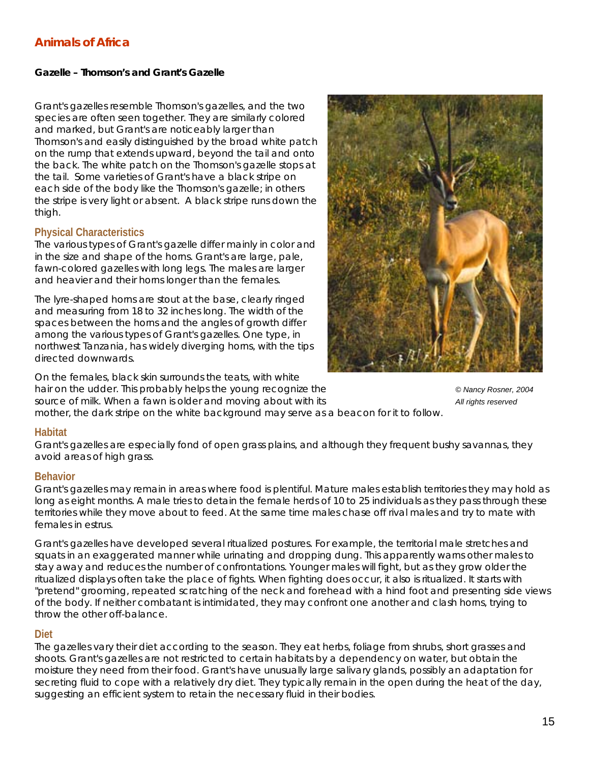#### *Gazelle – Thomson's and Grant's Gazelle*

Grant's gazelles resemble Thomson's gazelles, and the two species are often seen together. They are similarly colored and marked, but Grant's are noticeably larger than Thomson's and easily distinguished by the broad white patch on the rump that extends upward, beyond the tail and onto the back. The white patch on the Thomson's gazelle stops at the tail. Some varieties of Grant's have a black stripe on each side of the body like the Thomson's gazelle; in others the stripe is very light or absent. A black stripe runs down the thigh.

#### **Physical Characteristics**

The various types of Grant's gazelle differ mainly in color and in the size and shape of the horns. Grant's are large, pale, fawn-colored gazelles with long legs. The males are larger and heavier and their horns longer than the females.

The lyre-shaped horns are stout at the base, clearly ringed and measuring from 18 to 32 inches long. The width of the spaces between the horns and the angles of growth differ among the various types of Grant's gazelles. One type, in northwest Tanzania, has widely diverging horns, with the tips directed downwards.

On the females, black skin surrounds the teats, with white hair on the udder. This probably helps the young recognize the *COMA*  $\odot$  *Q Nancy Rosner, 2004 COMA COMA COMA COMA COMA COMA COMA COMA COMA COMA COMA COMA COMA COMA COMA COMA COMA* source of milk. When a fawn is older and moving about with its **All rights reserved** all rights reserved



mother, the dark stripe on the white background may serve as a beacon for it to follow.

#### **Habitat**

Grant's gazelles are especially fond of open grass plains, and although they frequent bushy savannas, they avoid areas of high grass.

#### **Behavior**

Grant's gazelles may remain in areas where food is plentiful. Mature males establish territories they may hold as long as eight months. A male tries to detain the female herds of 10 to 25 individuals as they pass through these territories while they move about to feed. At the same time males chase off rival males and try to mate with females in estrus.

Grant's gazelles have developed several ritualized postures. For example, the territorial male stretches and squats in an exaggerated manner while urinating and dropping dung. This apparently warns other males to stay away and reduces the number of confrontations. Younger males will fight, but as they grow older the ritualized displays often take the place of fights. When fighting does occur, it also is ritualized. It starts with "pretend" grooming, repeated scratching of the neck and forehead with a hind foot and presenting side views of the body. If neither combatant is intimidated, they may confront one another and clash horns, trying to throw the other off-balance.

## **Diet**

The gazelles vary their diet according to the season. They eat herbs, foliage from shrubs, short grasses and shoots. Grant's gazelles are not restricted to certain habitats by a dependency on water, but obtain the moisture they need from their food. Grant's have unusually large salivary glands, possibly an adaptation for secreting fluid to cope with a relatively dry diet. They typically remain in the open during the heat of the day, suggesting an efficient system to retain the necessary fluid in their bodies.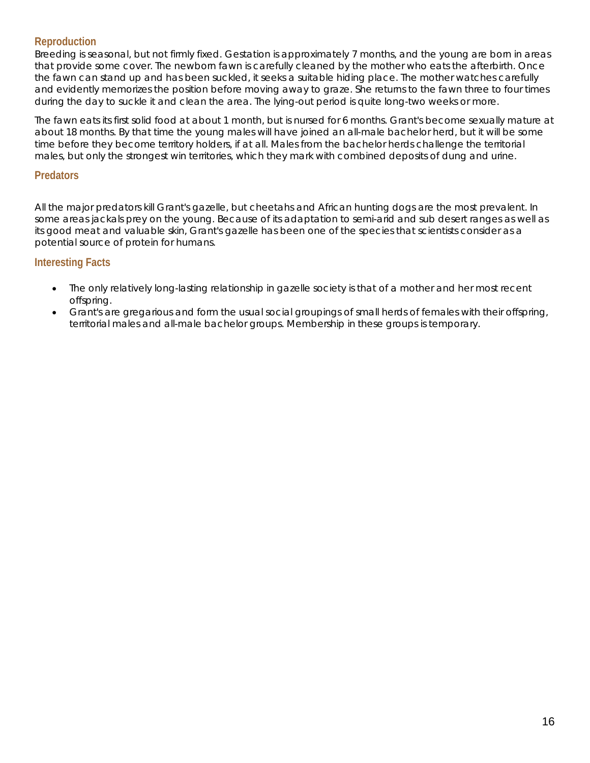## **Reproduction**

Breeding is seasonal, but not firmly fixed. Gestation is approximately 7 months, and the young are born in areas that provide some cover. The newborn fawn is carefully cleaned by the mother who eats the afterbirth. Once the fawn can stand up and has been suckled, it seeks a suitable hiding place. The mother watches carefully and evidently memorizes the position before moving away to graze. She returns to the fawn three to four times during the day to suckle it and clean the area. The lying-out period is quite long-two weeks or more.

The fawn eats its first solid food at about 1 month, but is nursed for 6 months. Grant's become sexually mature at about 18 months. By that time the young males will have joined an all-male bachelor herd, but it will be some time before they become territory holders, if at all. Males from the bachelor herds challenge the territorial males, but only the strongest win territories, which they mark with combined deposits of dung and urine.

## **Predators**

All the major predators kill Grant's gazelle, but cheetahs and African hunting dogs are the most prevalent. In some areas jackals prey on the young. Because of its adaptation to semi-arid and sub desert ranges as well as its good meat and valuable skin, Grant's gazelle has been one of the species that scientists consider as a potential source of protein for humans.

- The only relatively long-lasting relationship in gazelle society is that of a mother and her most recent offspring.
- Grant's are gregarious and form the usual social groupings of small herds of females with their offspring, territorial males and all-male bachelor groups. Membership in these groups is temporary.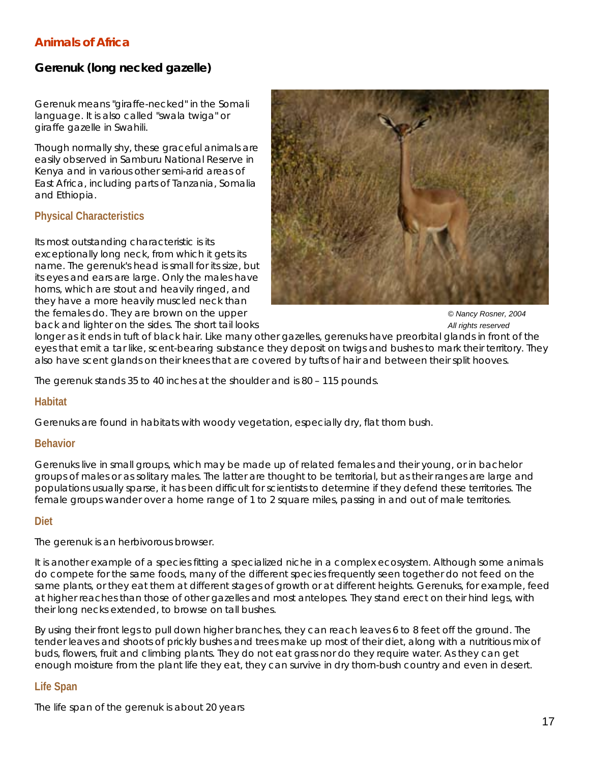# *Gerenuk (long necked gazelle)*

Gerenuk means "giraffe-necked" in the Somali language. It is also called "swala twiga" or giraffe gazelle in Swahili.

Though normally shy, these graceful animals are easily observed in Samburu National Reserve in Kenya and in various other semi-arid areas of East Africa, including parts of Tanzania, Somalia and Ethiopia.

## **Physical Characteristics**

Its most outstanding characteristic is its exceptionally long neck, from which it gets its name. The gerenuk's head is small for its size, but its eyes and ears are large. Only the males have horns, which are stout and heavily ringed, and they have a more heavily muscled neck than the females do. They are brown on the upper *COMB*  $\blacksquare$   $\blacksquare$   $\blacksquare$   $\blacksquare$   $\blacksquare$   $\blacksquare$   $\blacksquare$   $\blacksquare$   $\blacksquare$   $\blacksquare$   $\blacksquare$   $\blacksquare$   $\blacksquare$   $\blacksquare$   $\blacksquare$   $\blacksquare$   $\blacksquare$   $\blacksquare$   $\blacksquare$   $\blacksquare$   $\blacksquare$   $\blacksquare$   $\blacksquare$   $\blacksquare$  back and lighter on the sides. The short tail looks *All rights reserved All rights reserved* 



longer as it ends in tuft of black hair. Like many other gazelles, gerenuks have preorbital glands in front of the eyes that emit a tar like, scent-bearing substance they deposit on twigs and bushes to mark their territory. They also have scent glands on their knees that are covered by tufts of hair and between their split hooves.

The gerenuk stands 35 to 40 inches at the shoulder and is 80 – 115 pounds.

## **Habitat**

Gerenuks are found in habitats with woody vegetation, especially dry, flat thorn bush.

#### **Behavior**

Gerenuks live in small groups, which may be made up of related females and their young, or in bachelor groups of males or as solitary males. The latter are thought to be territorial, but as their ranges are large and populations usually sparse, it has been difficult for scientists to determine if they defend these territories. The female groups wander over a home range of 1 to 2 square miles, passing in and out of male territories.

#### **Diet**

The gerenuk is an herbivorous browser.

It is another example of a species fitting a specialized niche in a complex ecosystem. Although some animals do compete for the same foods, many of the different species frequently seen together do not feed on the same plants, or they eat them at different stages of growth or at different heights. Gerenuks, for example, feed at higher reaches than those of other gazelles and most antelopes. They stand erect on their hind legs, with their long necks extended, to browse on tall bushes.

By using their front legs to pull down higher branches, they can reach leaves 6 to 8 feet off the ground. The tender leaves and shoots of prickly bushes and trees make up most of their diet, along with a nutritious mix of buds, flowers, fruit and climbing plants. They do not eat grass nor do they require water. As they can get enough moisture from the plant life they eat, they can survive in dry thorn-bush country and even in desert.

## **Life Span**

The life span of the gerenuk is about 20 years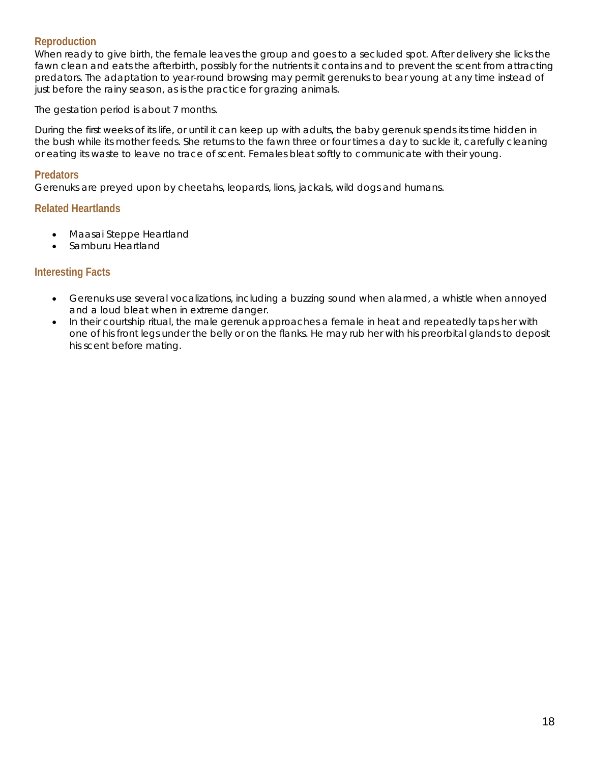## **Reproduction**

When ready to give birth, the female leaves the group and goes to a secluded spot. After delivery she licks the fawn clean and eats the afterbirth, possibly for the nutrients it contains and to prevent the scent from attracting predators. The adaptation to year-round browsing may permit gerenuks to bear young at any time instead of just before the rainy season, as is the practice for grazing animals.

The gestation period is about 7 months.

During the first weeks of its life, or until it can keep up with adults, the baby gerenuk spends its time hidden in the bush while its mother feeds. She returns to the fawn three or four times a day to suckle it, carefully cleaning or eating its waste to leave no trace of scent. Females bleat softly to communicate with their young.

#### **Predators**

Gerenuks are preyed upon by cheetahs, leopards, lions, jackals, wild dogs and humans.

#### **Related Heartlands**

- Maasai Steppe Heartland
- Samburu Heartland

- Gerenuks use several vocalizations, including a buzzing sound when alarmed, a whistle when annoyed and a loud bleat when in extreme danger.
- In their courtship ritual, the male gerenuk approaches a female in heat and repeatedly taps her with one of his front legs under the belly or on the flanks. He may rub her with his preorbital glands to deposit his scent before mating.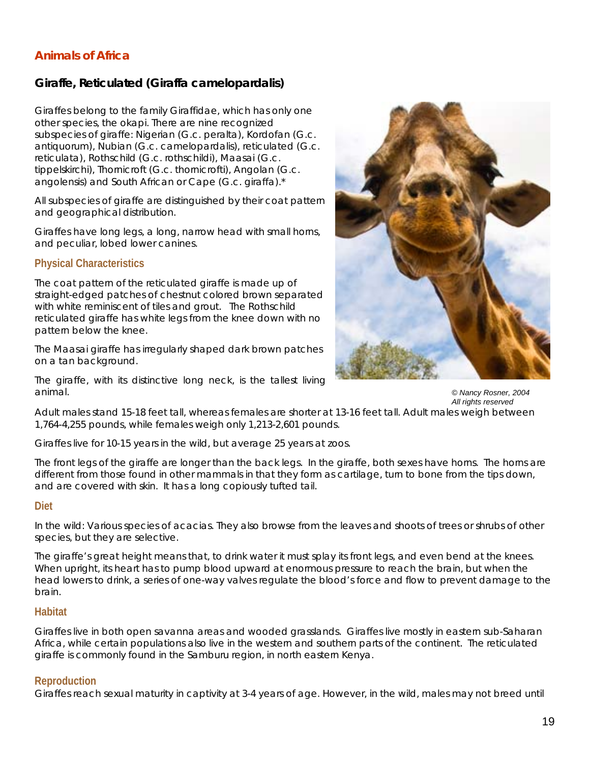# *Giraffe, Reticulated (Giraffa camelopardalis)*

Giraffes belong to the family Giraffidae, which has only one other species, the okapi. There are nine recognized subspecies of giraffe: Nigerian *(G.c. peralta),* Kordofan *(G.c. antiquorum),* Nubian *(G.c. camelopardalis),* reticulated *(G.c. reticulata),* Rothschild *(G.c. rothschildi),* Maasai *(G.c. tippelskirchi),* Thornicroft *(G.c. thornicrofti),* Angolan (*G.c. angolensis*) and South African or Cape *(G.c. giraffa)*.\*

All subspecies of giraffe are distinguished by their coat pattern and geographical distribution.

Giraffes have long legs, a long, narrow head with small horns, and peculiar, lobed lower canines.

## **Physical Characteristics**

The coat pattern of the reticulated giraffe is made up of straight-edged patches of chestnut colored brown separated with white reminiscent of tiles and grout. The Rothschild reticulated giraffe has white legs from the knee down with no pattern below the knee.

The Maasai giraffe has irregularly shaped dark brown patches on a tan background.

The giraffe, with its distinctive long neck, is the tallest living animal. *© Nancy Rosner, 2004* 



*All rights reserved* 

Adult males stand 15-18 feet tall, whereas females are shorter at 13-16 feet tall. Adult males weigh between 1,764-4,255 pounds, while females weigh only 1,213-2,601 pounds.

Giraffes live for 10-15 years in the wild, but average 25 years at zoos.

The front legs of the giraffe are longer than the back legs. In the giraffe, both sexes have horns. The horns are different from those found in other mammals in that they form as cartilage, turn to bone from the tips down, and are covered with skin. It has a long copiously tufted tail.

#### **Diet**

In the wild: Various species of acacias. They also browse from the leaves and shoots of trees or shrubs of other species, but they are selective.

The giraffe's great height means that, to drink water it must splay its front legs, and even bend at the knees. When upright, its heart has to pump blood upward at enormous pressure to reach the brain, but when the head lowers to drink, a series of one-way valves regulate the blood's force and flow to prevent damage to the brain.

#### **Habitat**

Giraffes live in both open savanna areas and wooded grasslands. Giraffes live mostly in eastern sub-Saharan Africa, while certain populations also live in the western and southern parts of the continent. The reticulated giraffe is commonly found in the Samburu region, in north eastern Kenya.

## **Reproduction**

Giraffes reach sexual maturity in captivity at 3-4 years of age. However, in the wild, males may not breed until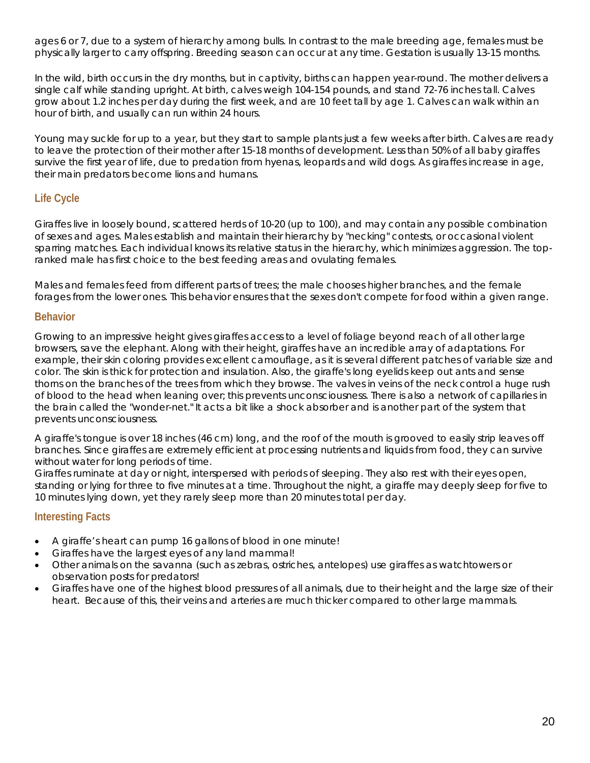ages 6 or 7, due to a system of hierarchy among bulls. In contrast to the male breeding age, females must be physically larger to carry offspring. Breeding season can occur at any time. Gestation is usually 13-15 months.

In the wild, birth occurs in the dry months, but in captivity, births can happen year-round. The mother delivers a single calf while standing upright. At birth, calves weigh 104-154 pounds, and stand 72-76 inches tall. Calves grow about 1.2 inches per day during the first week, and are 10 feet tall by age 1. Calves can walk within an hour of birth, and usually can run within 24 hours.

Young may suckle for up to a year, but they start to sample plants just a few weeks after birth. Calves are ready to leave the protection of their mother after 15-18 months of development. Less than 50% of all baby giraffes survive the first year of life, due to predation from hyenas, leopards and wild dogs. As giraffes increase in age, their main predators become lions and humans.

# **Life Cycle**

Giraffes live in loosely bound, scattered herds of 10-20 (up to 100), and may contain any possible combination of sexes and ages. Males establish and maintain their hierarchy by "necking" contests, or occasional violent sparring matches. Each individual knows its relative status in the hierarchy, which minimizes aggression. The topranked male has first choice to the best feeding areas and ovulating females.

Males and females feed from different parts of trees; the male chooses higher branches, and the female forages from the lower ones. This behavior ensures that the sexes don't compete for food within a given range.

## **Behavior**

Growing to an impressive height gives giraffes access to a level of foliage beyond reach of all other large browsers, save the elephant. Along with their height, giraffes have an incredible array of adaptations. For example, their skin coloring provides excellent camouflage, as it is several different patches of variable size and color. The skin is thick for protection and insulation. Also, the giraffe's long eyelids keep out ants and sense thorns on the branches of the trees from which they browse. The valves in veins of the neck control a huge rush of blood to the head when leaning over; this prevents unconsciousness. There is also a network of capillaries in the brain called the "wonder-net." It acts a bit like a shock absorber and is another part of the system that prevents unconsciousness.

A giraffe's tongue is over 18 inches (46 cm) long, and the roof of the mouth is grooved to easily strip leaves off branches. Since giraffes are extremely efficient at processing nutrients and liquids from food, they can survive without water for long periods of time.

Giraffes ruminate at day or night, interspersed with periods of sleeping. They also rest with their eyes open, standing or lying for three to five minutes at a time. Throughout the night, a giraffe may deeply sleep for five to 10 minutes lying down, yet they rarely sleep more than 20 minutes total per day.

- A giraffe's heart can pump 16 gallons of blood in one minute!
- Giraffes have the largest eyes of any land mammal!
- Other animals on the savanna (such as zebras, ostriches, antelopes) use giraffes as watchtowers or observation posts for predators!
- Giraffes have one of the highest blood pressures of all animals, due to their height and the large size of their heart. Because of this, their veins and arteries are much thicker compared to other large mammals.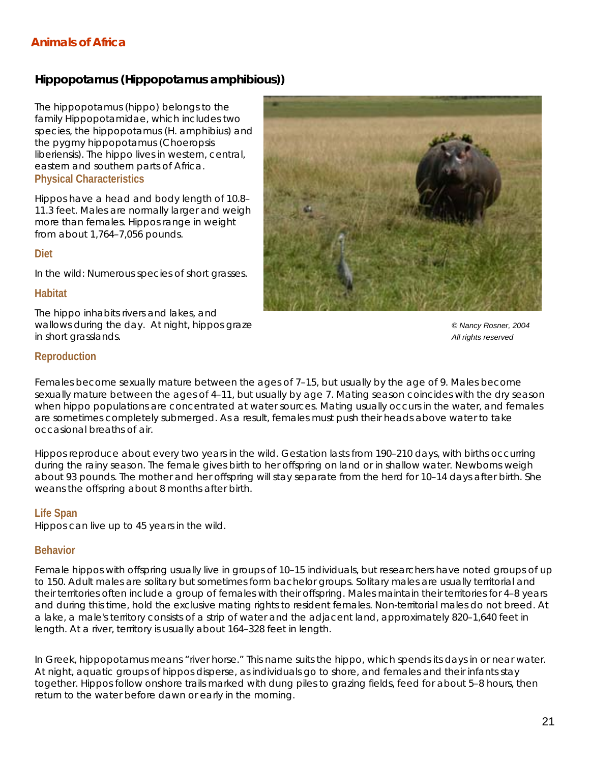## *Hippopotamus (Hippopotamus amphibious))*

The hippopotamus (hippo) belongs to the family Hippopotamidae, which includes two species, the hippopotamus (*H. amphibius*) and the pygmy hippopotamus *(Choeropsis liberiensis).* The hippo lives in western, central, eastern and southern parts of Africa. **Physical Characteristics** 

Hippos have a head and body length of 10.8– 11.3 feet. Males are normally larger and weigh more than females. Hippos range in weight from about 1,764–7,056 pounds.

#### **Diet**

In the wild: Numerous species of short grasses.

#### **Habitat**

The hippo inhabits rivers and lakes, and wallows during the day. At night, hippos graze *Wallows during the day. At night, hippos graze COMA COMA COMA COMA COMA COMA COMA COMA COMA COMA COMA COMA COMA COMA* in short grasslands. *All rights reserved*



#### **Reproduction**

Females become sexually mature between the ages of 7–15, but usually by the age of 9. Males become sexually mature between the ages of 4–11, but usually by age 7. Mating season coincides with the dry season when hippo populations are concentrated at water sources. Mating usually occurs in the water, and females are sometimes completely submerged. As a result, females must push their heads above water to take occasional breaths of air.

Hippos reproduce about every two years in the wild. Gestation lasts from 190–210 days, with births occurring during the rainy season. The female gives birth to her offspring on land or in shallow water. Newborns weigh about 93 pounds. The mother and her offspring will stay separate from the herd for 10–14 days after birth. She weans the offspring about 8 months after birth.

#### **Life Span**

Hippos can live up to 45 years in the wild.

#### **Behavior**

Female hippos with offspring usually live in groups of 10–15 individuals, but researchers have noted groups of up to 150. Adult males are solitary but sometimes form bachelor groups. Solitary males are usually territorial and their territories often include a group of females with their offspring. Males maintain their territories for 4–8 years and during this time, hold the exclusive mating rights to resident females. Non-territorial males do not breed. At a lake, a male's territory consists of a strip of water and the adjacent land, approximately 820–1,640 feet in length. At a river, territory is usually about 164–328 feet in length.

In Greek, hippopotamus means "river horse." This name suits the hippo, which spends its days in or near water. At night, aquatic groups of hippos disperse, as individuals go to shore, and females and their infants stay together. Hippos follow onshore trails marked with dung piles to grazing fields, feed for about 5–8 hours, then return to the water before dawn or early in the morning.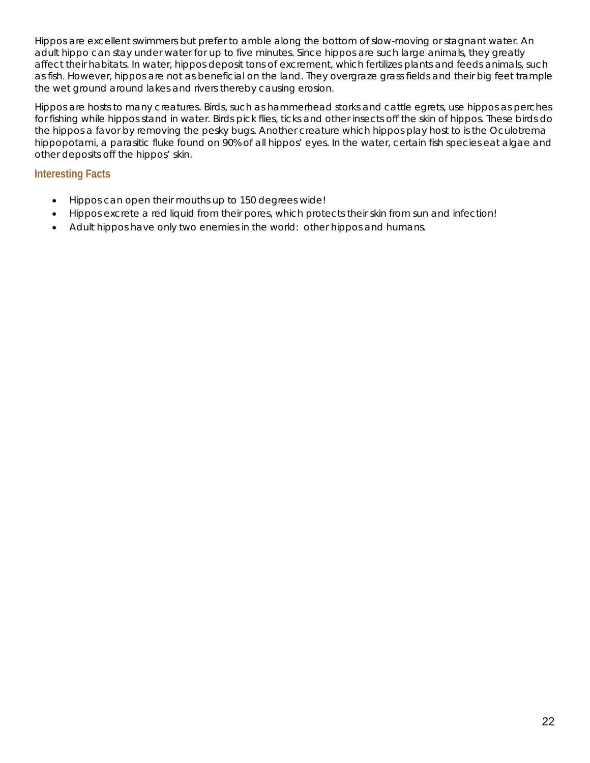Hippos are excellent swimmers but prefer to amble along the bottom of slow-moving or stagnant water. An adult hippo can stay under water for up to five minutes. Since hippos are such large animals, they greatly affect their habitats. In water, hippos deposit tons of excrement, which fertilizes plants and feeds animals, such as fish. However, hippos are not as beneficial on the land. They overgraze grass fields and their big feet trample the wet ground around lakes and rivers thereby causing erosion.

Hippos are hosts to many creatures. Birds, such as hammerhead storks and cattle egrets, use hippos as perches for fishing while hippos stand in water. Birds pick flies, ticks and other insects off the skin of hippos. These birds do the hippos a favor by removing the pesky bugs. Another creature which hippos play host to is the *Oculotrema hippopotami*, a parasitic fluke found on 90% of all hippos' eyes. In the water, certain fish species eat algae and other deposits off the hippos' skin.

- Hippos can open their mouths up to 150 degrees wide!
- Hippos excrete a red liquid from their pores, which protects their skin from sun and infection!
- Adult hippos have only two enemies in the world: other hippos and humans.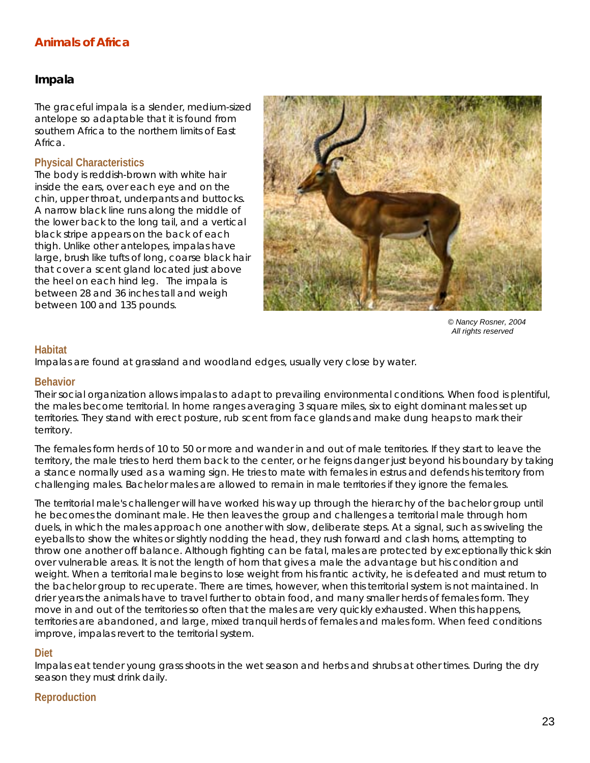## *Impala*

The graceful impala is a slender, medium-sized antelope so adaptable that it is found from southern Africa to the northern limits of East Africa.

#### **Physical Characteristics**

The body is reddish-brown with white hair inside the ears, over each eye and on the chin, upper throat, underpants and buttocks. A narrow black line runs along the middle of the lower back to the long tail, and a vertical black stripe appears on the back of each thigh. Unlike other antelopes, impalas have large, brush like tufts of long, coarse black hair that cover a scent gland located just above the heel on each hind leg. The impala is between 28 and 36 inches tall and weigh between 100 and 135 pounds.

![](_page_22_Picture_5.jpeg)

*© Nancy Rosner, 2004 All rights reserved*

#### **Habitat**

Impalas are found at grassland and woodland edges, usually very close by water.

#### **Behavior**

Their social organization allows impalas to adapt to prevailing environmental conditions. When food is plentiful, the males become territorial. In home ranges averaging 3 square miles, six to eight dominant males set up territories. They stand with erect posture, rub scent from face glands and make dung heaps to mark their territory.

The females form herds of 10 to 50 or more and wander in and out of male territories. If they start to leave the territory, the male tries to herd them back to the center, or he feigns danger just beyond his boundary by taking a stance normally used as a warning sign. He tries to mate with females in estrus and defends his territory from challenging males. Bachelor males are allowed to remain in male territories if they ignore the females.

The territorial male's challenger will have worked his way up through the hierarchy of the bachelor group until he becomes the dominant male. He then leaves the group and challenges a territorial male through horn duels, in which the males approach one another with slow, deliberate steps. At a signal, such as swiveling the eyeballs to show the whites or slightly nodding the head, they rush forward and clash horns, attempting to throw one another off balance. Although fighting can be fatal, males are protected by exceptionally thick skin over vulnerable areas. It is not the length of horn that gives a male the advantage but his condition and weight. When a territorial male begins to lose weight from his frantic activity, he is defeated and must return to the bachelor group to recuperate. There are times, however, when this territorial system is not maintained. In drier years the animals have to travel further to obtain food, and many smaller herds of females form. They move in and out of the territories so often that the males are very quickly exhausted. When this happens, territories are abandoned, and large, mixed tranquil herds of females and males form. When feed conditions improve, impalas revert to the territorial system.

#### **Diet**

Impalas eat tender young grass shoots in the wet season and herbs and shrubs at other times. During the dry season they must drink daily.

## **Reproduction**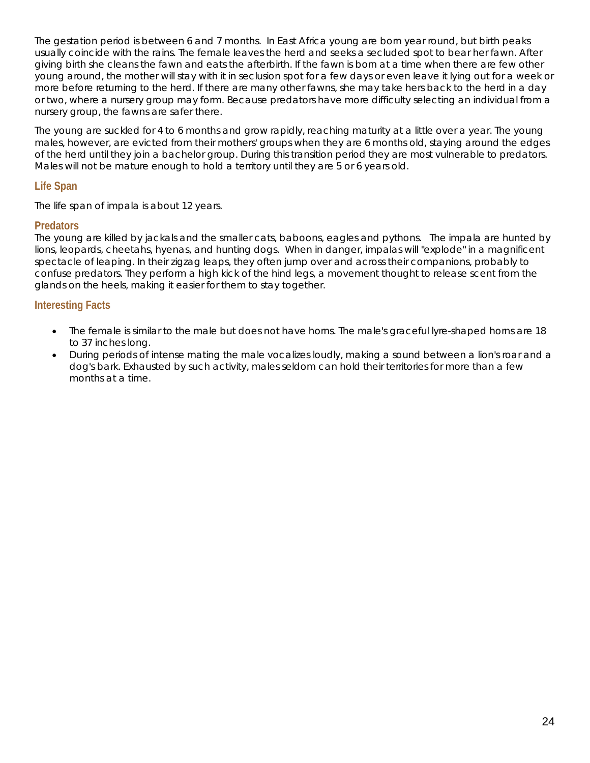The gestation period is between 6 and 7 months. In East Africa young are born year round, but birth peaks usually coincide with the rains. The female leaves the herd and seeks a secluded spot to bear her fawn. After giving birth she cleans the fawn and eats the afterbirth. If the fawn is born at a time when there are few other young around, the mother will stay with it in seclusion spot for a few days or even leave it lying out for a week or more before returning to the herd. If there are many other fawns, she may take hers back to the herd in a day or two, where a nursery group may form. Because predators have more difficulty selecting an individual from a nursery group, the fawns are safer there.

The young are suckled for 4 to 6 months and grow rapidly, reaching maturity at a little over a year. The young males, however, are evicted from their mothers' groups when they are 6 months old, staying around the edges of the herd until they join a bachelor group. During this transition period they are most vulnerable to predators. Males will not be mature enough to hold a territory until they are 5 or 6 years old.

## **Life Span**

The life span of impala is about 12 years.

## **Predators**

The young are killed by jackals and the smaller cats, baboons, eagles and pythons. The impala are hunted by lions, leopards, cheetahs, hyenas, and hunting dogs. When in danger, impalas will "explode" in a magnificent spectacle of leaping. In their zigzag leaps, they often jump over and across their companions, probably to confuse predators. They perform a high kick of the hind legs, a movement thought to release scent from the glands on the heels, making it easier for them to stay together.

- The female is similar to the male but does not have horns. The male's graceful lyre-shaped horns are 18 to 37 inches long.
- During periods of intense mating the male vocalizes loudly, making a sound between a lion's roar and a dog's bark. Exhausted by such activity, males seldom can hold their territories for more than a few months at a time.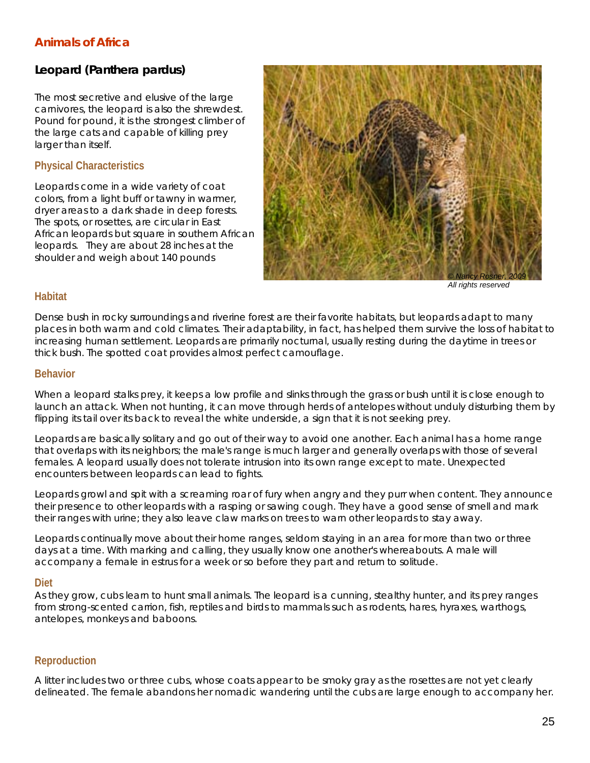# *Leopard (***Panthera pardus)**

The most secretive and elusive of the large carnivores, the leopard is also the shrewdest. Pound for pound, it is the strongest climber of the large cats and capable of killing prey larger than itself.

## **Physical Characteristics**

Leopards come in a wide variety of coat colors, from a light buff or tawny in warmer, dryer areas to a dark shade in deep forests. The spots, or rosettes, are circular in East African leopards but square in southern African leopards. They are about 28 inches at the shoulder and weigh about 140 pounds

![](_page_24_Picture_5.jpeg)

*All rights reserved* 

#### **Habitat**

Dense bush in rocky surroundings and riverine forest are their favorite habitats, but leopards adapt to many places in both warm and cold climates. Their adaptability, in fact, has helped them survive the loss of habitat to increasing human settlement. Leopards are primarily nocturnal, usually resting during the daytime in trees or thick bush. The spotted coat provides almost perfect camouflage.

#### **Behavior**

When a leopard stalks prey, it keeps a low profile and slinks through the grass or bush until it is close enough to launch an attack. When not hunting, it can move through herds of antelopes without unduly disturbing them by flipping its tail over its back to reveal the white underside, a sign that it is not seeking prey.

Leopards are basically solitary and go out of their way to avoid one another. Each animal has a home range that overlaps with its neighbors; the male's range is much larger and generally overlaps with those of several females. A leopard usually does not tolerate intrusion into its own range except to mate. Unexpected encounters between leopards can lead to fights.

Leopards growl and spit with a screaming roar of fury when angry and they purr when content. They announce their presence to other leopards with a rasping or sawing cough. They have a good sense of smell and mark their ranges with urine; they also leave claw marks on trees to warn other leopards to stay away.

Leopards continually move about their home ranges, seldom staying in an area for more than two or three days at a time. With marking and calling, they usually know one another's whereabouts. A male will accompany a female in estrus for a week or so before they part and return to solitude.

#### **Diet**

As they grow, cubs learn to hunt small animals. The leopard is a cunning, stealthy hunter, and its prey ranges from strong-scented carrion, fish, reptiles and birds to mammals such as rodents, hares, hyraxes, warthogs, antelopes, monkeys and baboons.

## **Reproduction**

A litter includes two or three cubs, whose coats appear to be smoky gray as the rosettes are not yet clearly delineated. The female abandons her nomadic wandering until the cubs are large enough to accompany her.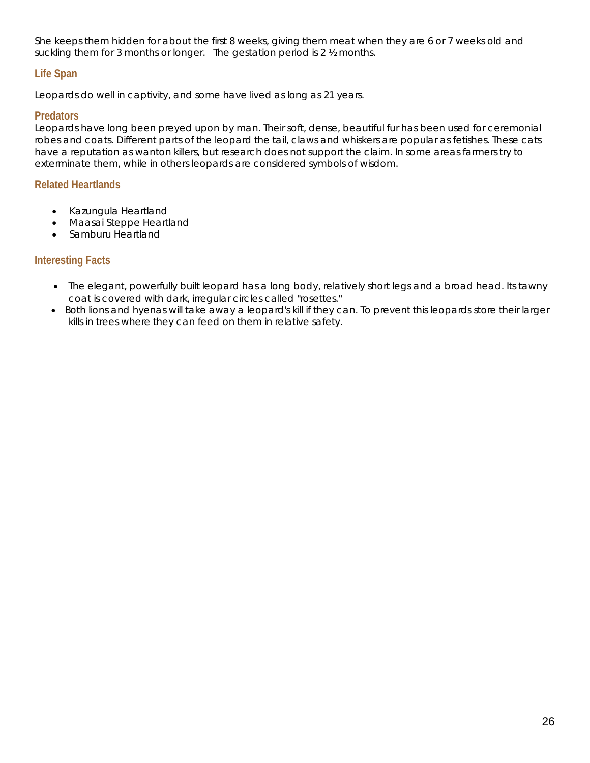She keeps them hidden for about the first 8 weeks, giving them meat when they are 6 or 7 weeks old and suckling them for 3 months or longer. The gestation period is 2 ½ months.

## **Life Span**

Leopards do well in captivity, and some have lived as long as 21 years.

## **Predators**

Leopards have long been preyed upon by man. Their soft, dense, beautiful fur has been used for ceremonial robes and coats. Different parts of the leopard the tail, claws and whiskers are popular as fetishes. These cats have a reputation as wanton killers, but research does not support the claim. In some areas farmers try to exterminate them, while in others leopards are considered symbols of wisdom.

## **Related Heartlands**

- Kazungula Heartland
- Maasai Steppe Heartland
- Samburu Heartland

- The elegant, powerfully built leopard has a long body, relatively short legs and a broad head. Its tawny coat is covered with dark, irregular circles called "rosettes."
- Both lions and hyenas will take away a leopard's kill if they can. To prevent this leopards store their larger kills in trees where they can feed on them in relative safety.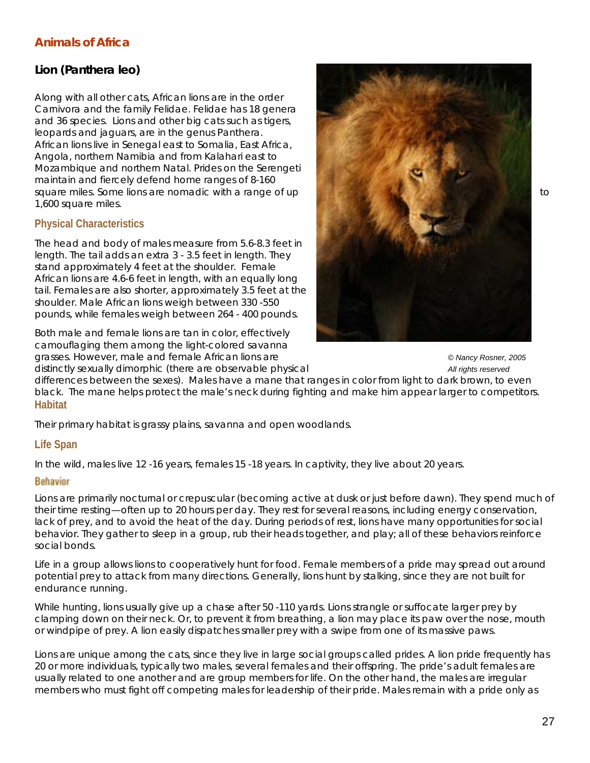# *Lion* **(***Panthera leo)*

Along with all other cats, African lions are in the order Carnivora and the family Felidae. Felidae has 18 genera and 36 species. Lions and other big cats such as tigers, leopards and jaguars, are in the genus *Panthera*. African lions live in Senegal east to Somalia, East Africa, Angola, northern Namibia and from Kalahari east to Mozambique and northern Natal. Prides on the Serengeti maintain and fiercely defend home ranges of 8-160 square miles. Some lions are nomadic with a range of up to the state of the state of up to to the state of up to 1,600 square miles.

## **Physical Characteristics**

The head and body of males measure from 5.6-8.3 feet in length. The tail adds an extra 3 - 3.5 feet in length. They stand approximately 4 feet at the shoulder. Female African lions are 4.6-6 feet in length, with an equally long tail. Females are also shorter, approximately 3.5 feet at the shoulder. Male African lions weigh between 330 -550 pounds, while females weigh between 264 - 400 pounds.

Both male and female lions are tan in color, effectively camouflaging them among the light-colored savanna grasses. However, male and female African lions are *© Nancy Rosner, 2005*  distinctly sexually dimorphic (there are observable physical *All rights reserved* 

![](_page_26_Picture_6.jpeg)

differences between the sexes). Males have a mane that ranges in color from light to dark brown, to even black. The mane helps protect the male's neck during fighting and make him appear larger to competitors. **Habitat** 

Their primary habitat is grassy plains, savanna and open woodlands.

## **Life Span**

In the wild, males live 12 -16 years, females 15 -18 years. In captivity, they live about 20 years.

#### **Behavior**

Lions are primarily nocturnal or crepuscular (becoming active at dusk or just before dawn). They spend much of their time resting—often up to 20 hours per day. They rest for several reasons, including energy conservation, lack of prey, and to avoid the heat of the day. During periods of rest, lions have many opportunities for social behavior. They gather to sleep in a group, rub their heads together, and play; all of these behaviors reinforce social bonds.

Life in a group allows lions to cooperatively hunt for food. Female members of a pride may spread out around potential prey to attack from many directions. Generally, lions hunt by stalking, since they are not built for endurance running.

While hunting, lions usually give up a chase after 50 -110 yards. Lions strangle or suffocate larger prey by clamping down on their neck. Or, to prevent it from breathing, a lion may place its paw over the nose, mouth or windpipe of prey. A lion easily dispatches smaller prey with a swipe from one of its massive paws.

Lions are unique among the cats, since they live in large social groups called prides. A lion pride frequently has 20 or more individuals, typically two males, several females and their offspring. The pride's adult females are usually related to one another and are group members for life. On the other hand, the males are irregular members who must fight off competing males for leadership of their pride. Males remain with a pride only as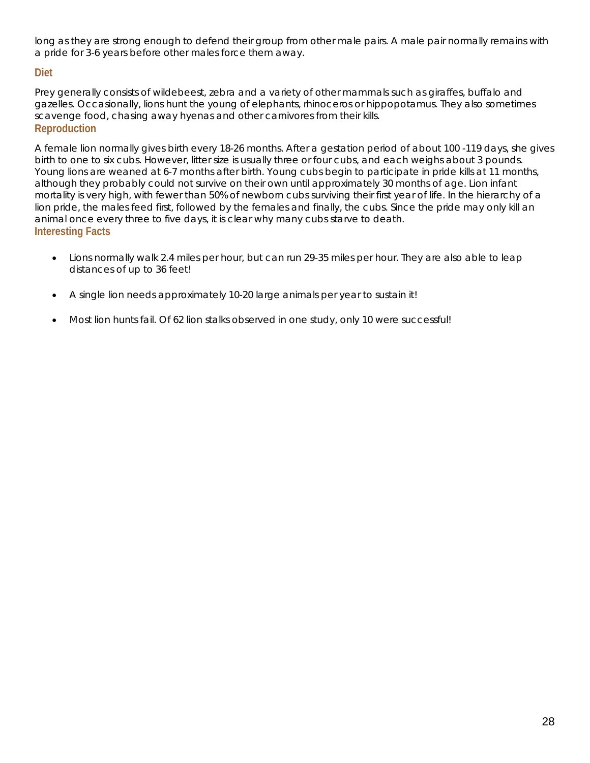long as they are strong enough to defend their group from other male pairs. A male pair normally remains with a pride for 3-6 years before other males force them away.

## **Diet**

Prey generally consists of wildebeest, zebra and a variety of other mammals such as giraffes, buffalo and gazelles. Occasionally, lions hunt the young of elephants, rhinoceros or hippopotamus. They also sometimes scavenge food, chasing away hyenas and other carnivores from their kills. **Reproduction** 

A female lion normally gives birth every 18-26 months. After a gestation period of about 100 -119 days, she gives birth to one to six cubs. However, litter size is usually three or four cubs, and each weighs about 3 pounds. Young lions are weaned at 6-7 months after birth. Young cubs begin to participate in pride kills at 11 months, although they probably could not survive on their own until approximately 30 months of age. Lion infant mortality is very high, with fewer than 50% of newborn cubs surviving their first year of life. In the hierarchy of a lion pride, the males feed first, followed by the females and finally, the cubs. Since the pride may only kill an animal once every three to five days, it is clear why many cubs starve to death. **Interesting Facts** 

- Lions normally walk 2.4 miles per hour, but can run 29-35 miles per hour. They are also able to leap distances of up to 36 feet!
- A single lion needs approximately 10-20 large animals per year to sustain it!
- Most lion hunts fail. Of 62 lion stalks observed in one study, only 10 were successful!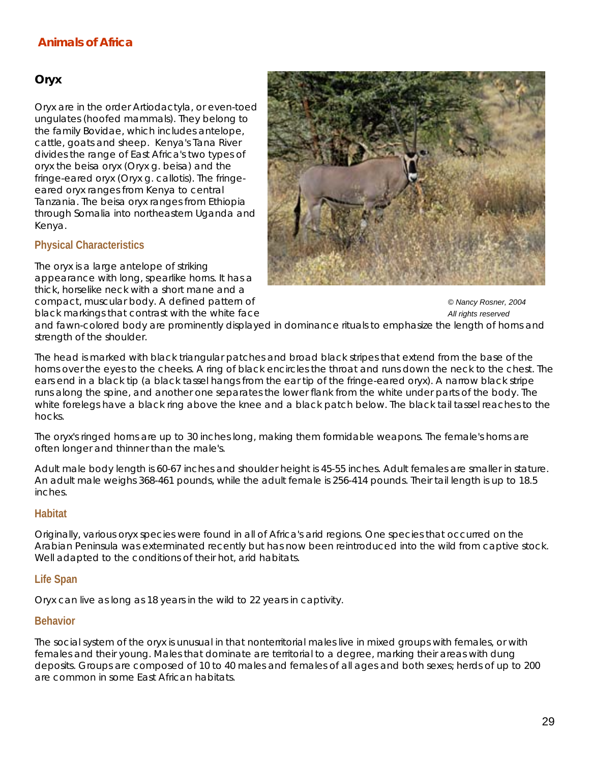## *Oryx*

Oryx are in the order Artiodactyla, or even-toed ungulates (hoofed mammals). They belong to the family Bovidae, which includes antelope, cattle, goats and sheep. Kenya's Tana River divides the range of East Africa's two types of oryx the beisa oryx (Oryx g. beisa) and the fringe-eared oryx (Oryx g. callotis). The fringeeared oryx ranges from Kenya to central Tanzania. The beisa oryx ranges from Ethiopia through Somalia into northeastern Uganda and Kenya.

## **Physical Characteristics**

strength of the shoulder.

The oryx is a large antelope of striking appearance with long, spearlike horns. It has a thick, horselike neck with a short mane and a

![](_page_28_Picture_5.jpeg)

compact, muscular body. A defined pattern of *© Nancy Rosner, 2004*  black markings that contrast with the white face **All rights reserved** black markings that contrast with the white face and fawn-colored body are prominently displayed in dominance rituals to emphasize the length of horns and

The head is marked with black triangular patches and broad black stripes that extend from the base of the horns over the eyes to the cheeks. A ring of black encircles the throat and runs down the neck to the chest. The ears end in a black tip (a black tassel hangs from the ear tip of the fringe-eared oryx). A narrow black stripe runs along the spine, and another one separates the lower flank from the white under parts of the body. The white forelegs have a black ring above the knee and a black patch below. The black tail tassel reaches to the hocks.

The oryx's ringed horns are up to 30 inches long, making them formidable weapons. The female's horns are often longer and thinner than the male's.

Adult male body length is 60-67 inches and shoulder height is 45-55 inches. Adult females are smaller in stature. An adult male weighs 368-461 pounds, while the adult female is 256-414 pounds. Their tail length is up to 18.5 inches.

## **Habitat**

Originally, various oryx species were found in all of Africa's arid regions. One species that occurred on the Arabian Peninsula was exterminated recently but has now been reintroduced into the wild from captive stock. Well adapted to the conditions of their hot, arid habitats.

## **Life Span**

Oryx can live as long as 18 years in the wild to 22 years in captivity.

#### **Behavior**

The social system of the oryx is unusual in that nonterritorial males live in mixed groups with females, or with females and their young. Males that dominate are territorial to a degree, marking their areas with dung deposits. Groups are composed of 10 to 40 males and females of all ages and both sexes; herds of up to 200 are common in some East African habitats.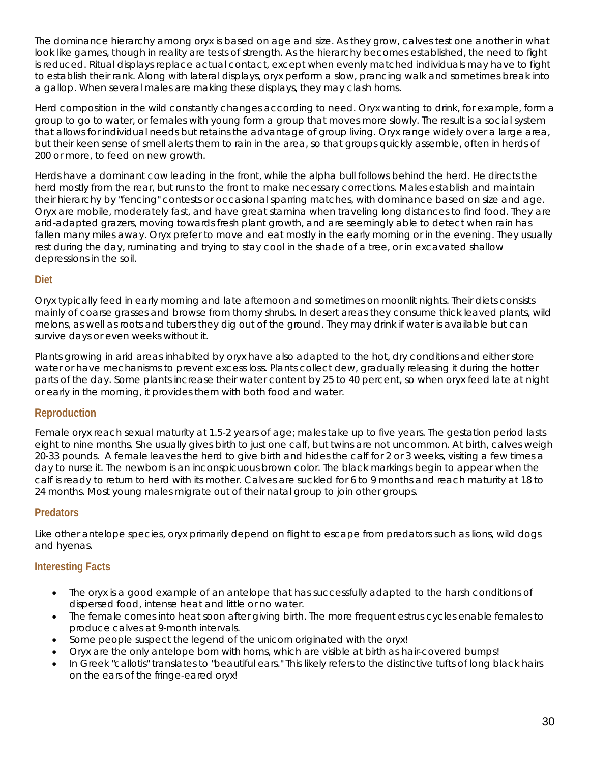The dominance hierarchy among oryx is based on age and size. As they grow, calves test one another in what look like games, though in reality are tests of strength. As the hierarchy becomes established, the need to fight is reduced. Ritual displays replace actual contact, except when evenly matched individuals may have to fight to establish their rank. Along with lateral displays, oryx perform a slow, prancing walk and sometimes break into a gallop. When several males are making these displays, they may clash horns.

Herd composition in the wild constantly changes according to need. Oryx wanting to drink, for example, form a group to go to water, or females with young form a group that moves more slowly. The result is a social system that allows for individual needs but retains the advantage of group living. Oryx range widely over a large area, but their keen sense of smell alerts them to rain in the area, so that groups quickly assemble, often in herds of 200 or more, to feed on new growth.

Herds have a dominant cow leading in the front, while the alpha bull follows behind the herd. He directs the herd mostly from the rear, but runs to the front to make necessary corrections. Males establish and maintain their hierarchy by "fencing" contests or occasional sparring matches, with dominance based on size and age. Oryx are mobile, moderately fast, and have great stamina when traveling long distances to find food. They are arid-adapted grazers, moving towards fresh plant growth, and are seemingly able to detect when rain has fallen many miles away. Oryx prefer to move and eat mostly in the early morning or in the evening. They usually rest during the day, ruminating and trying to stay cool in the shade of a tree, or in excavated shallow depressions in the soil.

## **Diet**

Oryx typically feed in early morning and late afternoon and sometimes on moonlit nights. Their diets consists mainly of coarse grasses and browse from thorny shrubs. In desert areas they consume thick leaved plants, wild melons, as well as roots and tubers they dig out of the ground. They may drink if water is available but can survive days or even weeks without it.

Plants growing in arid areas inhabited by oryx have also adapted to the hot, dry conditions and either store water or have mechanisms to prevent excess loss. Plants collect dew, gradually releasing it during the hotter parts of the day. Some plants increase their water content by 25 to 40 percent, so when oryx feed late at night or early in the morning, it provides them with both food and water.

# **Reproduction**

Female oryx reach sexual maturity at 1.5-2 years of age; males take up to five years. The gestation period lasts eight to nine months. She usually gives birth to just one calf, but twins are not uncommon. At birth, calves weigh 20-33 pounds. A female leaves the herd to give birth and hides the calf for 2 or 3 weeks, visiting a few times a day to nurse it. The newborn is an inconspicuous brown color. The black markings begin to appear when the calf is ready to return to herd with its mother. Calves are suckled for 6 to 9 months and reach maturity at 18 to 24 months. Most young males migrate out of their natal group to join other groups.

## **Predators**

Like other antelope species, oryx primarily depend on flight to escape from predators such as lions, wild dogs and hyenas.

- The oryx is a good example of an antelope that has successfully adapted to the harsh conditions of dispersed food, intense heat and little or no water.
- The female comes into heat soon after giving birth. The more frequent estrus cycles enable females to produce calves at 9-month intervals.
- Some people suspect the legend of the unicorn originated with the oryx!
- Oryx are the only antelope born with horns, which are visible at birth as hair-covered bumps!
- In Greek "callotis" translates to "beautiful ears." This likely refers to the distinctive tufts of long black hairs on the ears of the fringe-eared oryx!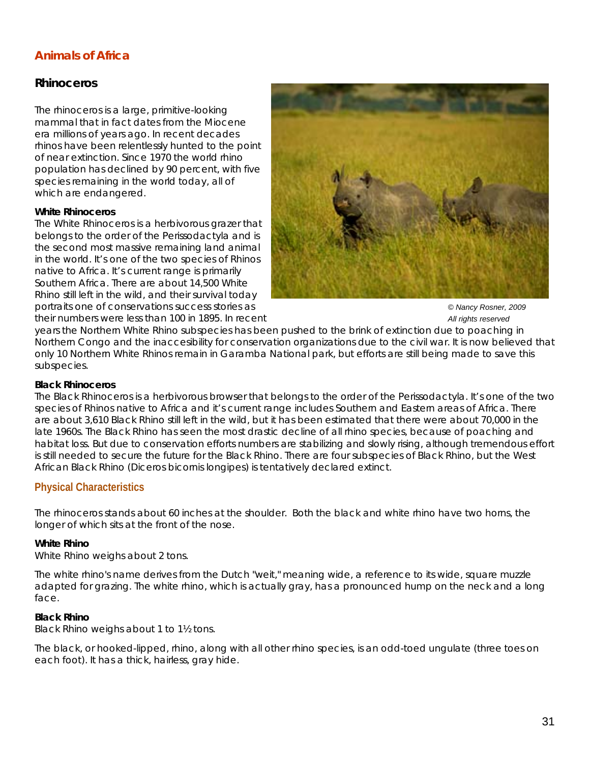## *Rhinoceros*

The rhinoceros is a large, primitive-looking mammal that in fact dates from the Miocene era millions of years ago. In recent decades rhinos have been relentlessly hunted to the point of near extinction. Since 1970 the world rhino population has declined by 90 percent, with five species remaining in the world today, all of which are endangered.

#### **White Rhinoceros**

The White Rhinoceros is a herbivorous grazer that belongs to the order of the Perissodactyla and is the second most massive remaining land animal in the world. It's one of the two species of Rhinos native to Africa. It's current range is primarily Southern Africa. There are about 14,500 White Rhino still left in the wild, and their survival today portraits one of conservations success stories as *© Nancy Rosner, 2009*  their numbers were less than 100 in 1895. In recent *All rights reserved*

![](_page_30_Picture_5.jpeg)

years the Northern White Rhino subspecies has been pushed to the brink of extinction due to poaching in Northern Congo and the inaccesibility for conservation organizations due to the civil war. It is now believed that only 10 Northern White Rhinos remain in Garamba National park, but efforts are still being made to save this subspecies.

#### **Black Rhinoceros**

The Black Rhinoceros is a herbivorous browser that belongs to the order of the Perissodactyla. It's one of the two species of Rhinos native to Africa and it's current range includes Southern and Eastern areas of Africa. There are about 3,610 Black Rhino still left in the wild, but it has been estimated that there were about 70,000 in the late 1960s. The Black Rhino has seen the most drastic decline of all rhino species, because of poaching and habitat loss. But due to conservation efforts numbers are stabilizing and slowly rising, although tremendous effort is still needed to secure the future for the Black Rhino. There are four subspecies of Black Rhino, but the West African Black Rhino (*Diceros bicornis longipes*) is tentatively declared extinct.

## **Physical Characteristics**

The rhinoceros stands about 60 inches at the shoulder. Both the black and white rhino have two horns, the longer of which sits at the front of the nose.

#### **White Rhino**

White Rhino weighs about 2 tons.

The white rhino's name derives from the Dutch "weit," meaning wide, a reference to its wide, square muzzle adapted for grazing. The white rhino, which is actually gray, has a pronounced hump on the neck and a long face.

#### **Black Rhino**

Black Rhino weighs about 1 to 1½ tons.

The black, or hooked-lipped, rhino, along with all other rhino species, is an odd-toed ungulate (three toes on each foot). It has a thick, hairless, gray hide.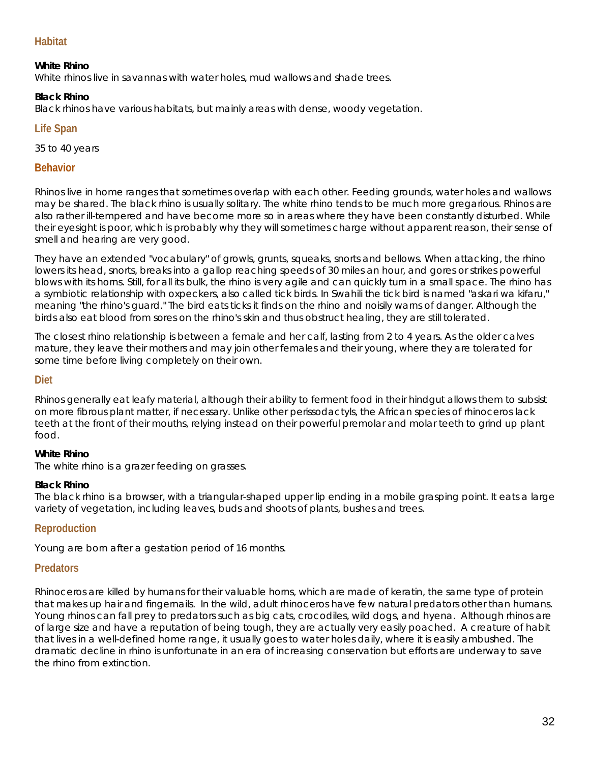## **Habitat**

#### **White Rhino**

White rhinos live in savannas with water holes, mud wallows and shade trees.

#### **Black Rhino**

Black rhinos have various habitats, but mainly areas with dense, woody vegetation.

#### **Life Span**

35 to 40 years

#### **Behavior**

Rhinos live in home ranges that sometimes overlap with each other. Feeding grounds, water holes and wallows may be shared. The black rhino is usually solitary. The white rhino tends to be much more gregarious. Rhinos are also rather ill-tempered and have become more so in areas where they have been constantly disturbed. While their eyesight is poor, which is probably why they will sometimes charge without apparent reason, their sense of smell and hearing are very good.

They have an extended "vocabulary" of growls, grunts, squeaks, snorts and bellows. When attacking, the rhino lowers its head, snorts, breaks into a gallop reaching speeds of 30 miles an hour, and gores or strikes powerful blows with its horns. Still, for all its bulk, the rhino is very agile and can quickly turn in a small space. The rhino has a symbiotic relationship with oxpeckers, also called tick birds. In Swahili the tick bird is named "askari wa kifaru," meaning "the rhino's guard." The bird eats ticks it finds on the rhino and noisily warns of danger. Although the birds also eat blood from sores on the rhino's skin and thus obstruct healing, they are still tolerated.

The closest rhino relationship is between a female and her calf, lasting from 2 to 4 years. As the older calves mature, they leave their mothers and may join other females and their young, where they are tolerated for some time before living completely on their own.

#### **Diet**

Rhinos generally eat leafy material, although their ability to ferment food in their hindgut allows them to subsist on more fibrous plant matter, if necessary. Unlike other perissodactyls, the African species of rhinoceros lack teeth at the front of their mouths, relying instead on their powerful premolar and molar teeth to grind up plant food.

#### **White Rhino**

The white rhino is a grazer feeding on grasses.

#### **Black Rhino**

The black rhino is a browser, with a triangular-shaped upper lip ending in a mobile grasping point. It eats a large variety of vegetation, including leaves, buds and shoots of plants, bushes and trees.

#### **Reproduction**

Young are born after a gestation period of 16 months.

#### **Predators**

Rhinoceros are killed by humans for their valuable horns, which are made of keratin, the same type of protein that makes up hair and fingernails. In the wild, adult rhinoceros have few natural predators other than humans. Young rhinos can fall prey to predators such as big cats, crocodiles, wild dogs, and hyena. Although rhinos are of large size and have a reputation of being tough, they are actually very easily poached. A creature of habit that lives in a well-defined home range, it usually goes to water holes daily, where it is easily ambushed. The dramatic decline in rhino is unfortunate in an era of increasing conservation but efforts are underway to save the rhino from extinction.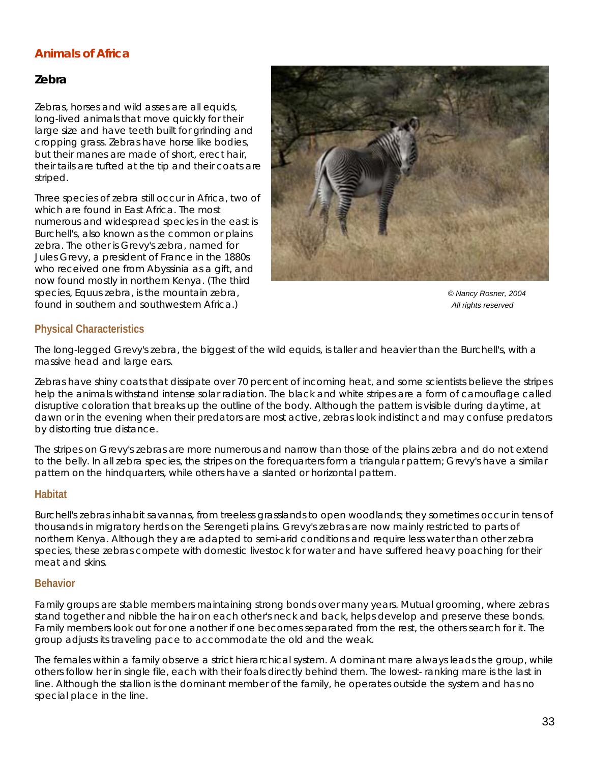## *Zebra*

Zebras, horses and wild asses are all equids, long-lived animals that move quickly for their large size and have teeth built for grinding and cropping grass. Zebras have horse like bodies, but their manes are made of short, erect hair, their tails are tufted at the tip and their coats are striped.

Three species of zebra still occur in Africa, two of which are found in East Africa. The most numerous and widespread species in the east is Burchell's, also known as the common or plains zebra. The other is Grevy's zebra, named for Jules Grevy, a president of France in the 1880s who received one from Abyssinia as a gift, and now found mostly in northern Kenya. (The third species, Equus zebra, is the mountain zebra, *© Nancy Rosner, 2004*  found in southern and southwestern Africa.) *All rights reserved* 

![](_page_32_Picture_4.jpeg)

## **Physical Characteristics**

The long-legged Grevy's zebra, the biggest of the wild equids, is taller and heavier than the Burchell's, with a massive head and large ears.

Zebras have shiny coats that dissipate over 70 percent of incoming heat, and some scientists believe the stripes help the animals withstand intense solar radiation. The black and white stripes are a form of camouflage called disruptive coloration that breaks up the outline of the body. Although the pattern is visible during daytime, at dawn or in the evening when their predators are most active, zebras look indistinct and may confuse predators by distorting true distance.

The stripes on Grevy's zebras are more numerous and narrow than those of the plains zebra and do not extend to the belly. In all zebra species, the stripes on the forequarters form a triangular pattern; Grevy's have a similar pattern on the hindquarters, while others have a slanted or horizontal pattern.

## **Habitat**

Burchell's zebras inhabit savannas, from treeless grasslands to open woodlands; they sometimes occur in tens of thousands in migratory herds on the Serengeti plains. Grevy's zebras are now mainly restricted to parts of northern Kenya. Although they are adapted to semi-arid conditions and require less water than other zebra species, these zebras compete with domestic livestock for water and have suffered heavy poaching for their meat and skins.

#### **Behavior**

Family groups are stable members maintaining strong bonds over many years. Mutual grooming, where zebras stand together and nibble the hair on each other's neck and back, helps develop and preserve these bonds. Family members look out for one another if one becomes separated from the rest, the others search for it. The group adjusts its traveling pace to accommodate the old and the weak.

The females within a family observe a strict hierarchical system. A dominant mare always leads the group, while others follow her in single file, each with their foals directly behind them. The lowest- ranking mare is the last in line. Although the stallion is the dominant member of the family, he operates outside the system and has no special place in the line.